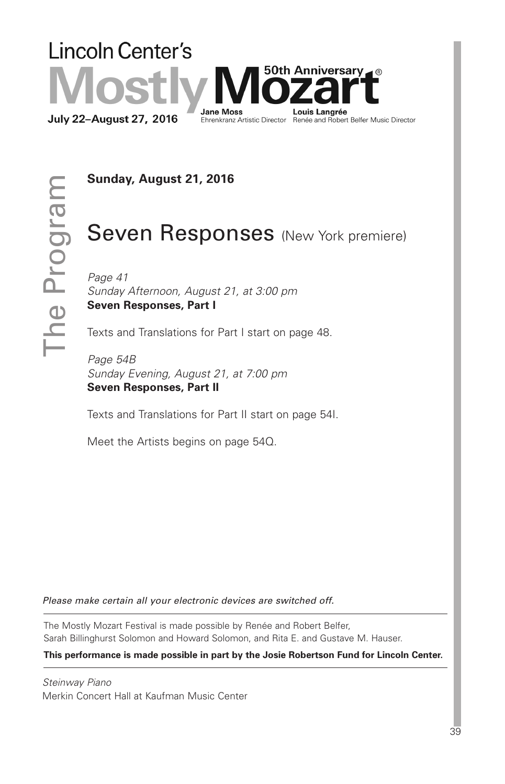

**Sunday, August 21, 2016**

 $\vdash$  $\equiv$  $\bf \Phi$ 

 $\mathbf{\Omega}$  $\overline{\phantom{0}}$ o  $\bigcirc$  $\overline{\phantom{0}}$ <u>დ</u>  $\Xi$ 

# Seven Responses (New York premiere)

*Page 41 Sunday Afternoon, August 21, at 3:00 pm* **Seven Responses, Part I**

Texts and Translations for Part I start on page 48.

*Page 54B Sunday Evening, August 21, at 7:00 pm* **Seven Responses, Part II**

Texts and Translations for Part II start on page 54I.

Meet the Artists begins on page 54Q.

*Please make certain all your electronic devices are switched off.*

The Mostly Mozart Festival is made possible by Renée and Robert Belfer, Sarah Billinghurst Solomon and Howard Solomon, and Rita E. and Gustave M. Hauser.

**This performance is made possible in part by the Josie Robertson Fund for Lincoln Center.**

*Steinway Piano* Merkin Concert Hall at Kaufman Music Center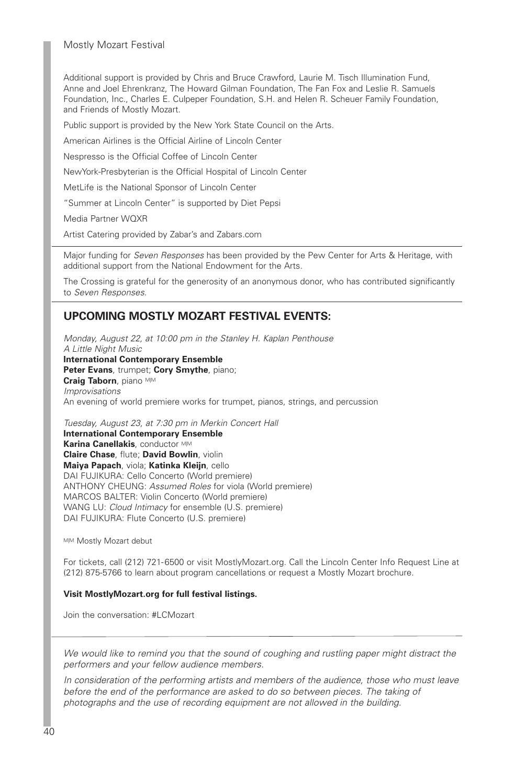Mostly Mozart Festival

Additional support is provided by Chris and Bruce Crawford, Laurie M. Tisch Illumination Fund, Anne and Joel Ehrenkranz, The Howard Gilman Foundation, The Fan Fox and Leslie R. Samuels Foundation, Inc., Charles E. Culpeper Foundation, S.H. and Helen R. Scheuer Family Foundation, and Friends of Mostly Mozart.

Public support is provided by the New York State Council on the Arts.

American Airlines is the Official Airline of Lincoln Center

Nespresso is the Official Coffee of Lincoln Center

NewYork-Presbyterian is the Official Hospital of Lincoln Center

MetLife is the National Sponsor of Lincoln Center

"Summer at Lincoln Center" is supported by Diet Pepsi

Media Partner WQXR

Artist Catering provided by Zabar's and Zabars.com

Major funding for *Seven Responses* has been provided by the Pew Center for Arts & Heritage, with additional support from the National Endowment for the Arts.

The Crossing is grateful for the generosity of an anonymous donor, who has contributed significantly to *Seven Responses*.

## **UPCOMING MOSTLY MOZART FESTIVAL EVENTS:**

*Monday, August 22, at 10:00 pm in the Stanley H. Kaplan Penthouse A Little Night Music* **International Contemporary Ensemble Peter Evans**, trumpet; **Cory Smythe**, piano; **Craig Taborn**, piano M|M *Improvisations* An evening of world premiere works for trumpet, pianos, strings, and percussion

*Tuesday, August 23, at 7:30 pm in Merkin Concert Hall*

**International Contemporary Ensemble Karina Canellakis**, conductor M|M **Claire Chase**, flute; **David Bowlin**, violin **Maiya Papach**, viola; **Katinka Kleijn**, cello DAI FUJIKURA: Cello Concerto (World premiere) ANTHONY CHEUNG: *Assumed Roles* for viola (World premiere) MARCOS BALTER: Violin Concerto (World premiere) WANG LU: *Cloud Intimacy* for ensemble (U.S. premiere) DAI FUJIKURA: Flute Concerto (U.S. premiere)

MIM Mostly Mozart debut

For tickets, call (212) 721-6500 or visit MostlyMozart.org. Call the Lincoln Center Info Request Line at (212) 875-5766 to learn about program cancellations or request a Mostly Mozart brochure.

#### **Visit MostlyMozart.org for full festival listings.**

Join the conversation: #LCMozart

*We would like to remind you that the sound of coughing and rustling paper might distract the performers and your fellow audience members.*

*In consideration of the performing artists and members of the audience, those who must leave before the end of the performance are asked to do so between pieces. The taking of photographs and the use of recording equipment are not allowed in the building.*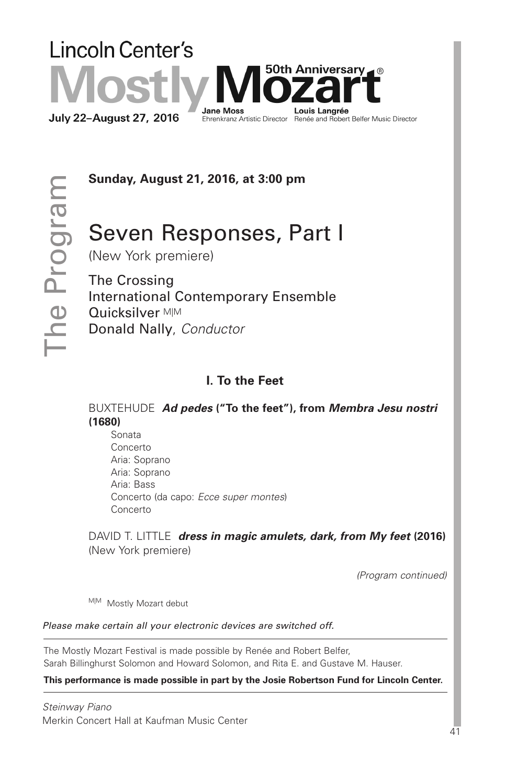# **Lincoln Center's** 50th Anniversarv⊿ ® **Jane Moss** Louis Langrée **July 22-August 27, 2016** Ehrenkranz Artistic Director Renée and Robert Belfer Music Director

 $\vdash$  $\mathbf{=}$  $\bf \Phi$  $\mathbf{\Omega}$  $\overline{\phantom{0}}$ o  $\bigcirc$ r <u>დ</u> E

**Sunday, August 21, 2016, at 3:00 pm**

# Seven Responses, Part I

(New York premiere)

The Crossing International Contemporary Ensemble Quicksilver M|M Donald Nally, *Conductor*

# **I. To the Feet**

BUXTEHUDE *Ad pedes* **("To the feet"), from** *Membra Jesu nostri* **(1680)**

 Sonata Concerto Aria: Soprano Aria: Soprano Aria: Bass Concerto (da capo: *Ecce super montes*) Concerto

DAVID T. LITTLE *dress in magic amulets, dark, from My feet* **(2016)** (New York premiere)

*(Program continued)*

M|M Mostly Mozart debut

*Please make certain all your electronic devices are switched off.*

The Mostly Mozart Festival is made possible by Renée and Robert Belfer, Sarah Billinghurst Solomon and Howard Solomon, and Rita E. and Gustave M. Hauser.

**This performance is made possible in part by the Josie Robertson Fund for Lincoln Center.**

*Steinway Piano* Merkin Concert Hall at Kaufman Music Center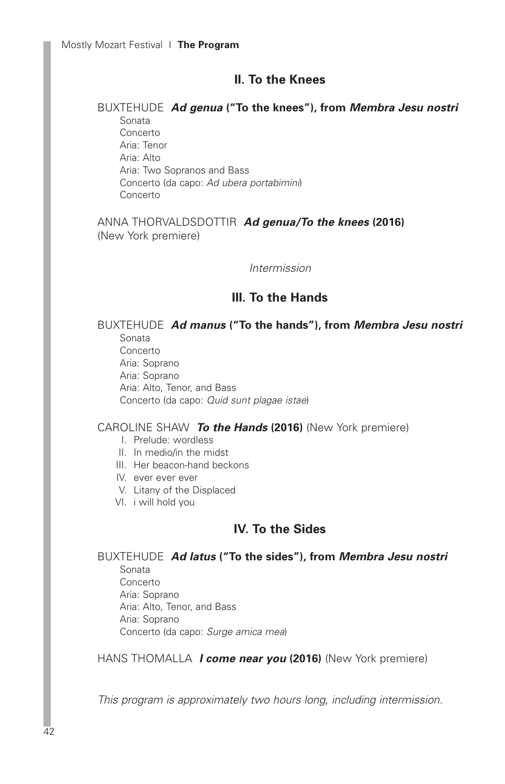## **II. To the Knees**

#### BUXTEHUDE *Ad genua* **("To the knees"), from** *Membra Jesu nostri* Sonata

 Concerto Aria: Tenor Aria: Alto Aria: Two Sopranos and Bass Concerto (da capo: *Ad ubera portabimini*) Concerto

ANNA THORVALDSDOTTIR *Ad genua/To the knees* **(2016)** (New York premiere)

## *Intermission*

## **III. To the Hands**

#### BUXTEHUDE *Ad manus* **("To the hands"), from** *Membra Jesu nostri* Sonata Concerto

 Aria: Soprano Aria: Soprano Aria: Alto, Tenor, and Bass Concerto (da capo: *Quid sunt plagae istae*)

## CAROLINE SHAW *To the Hands* **(2016)** (New York premiere)

I. Prelude: wordless

- II. In medio/in the midst
- III. Her beacon-hand beckons
- IV. ever ever ever
- V. Litany of the Displaced
- VI. i will hold you

## **IV. To the Sides**

BUXTEHUDE *Ad latus* **("To the sides"), from** *Membra Jesu nostri*

 Sonata Concerto Aria: Soprano Aria: Alto, Tenor, and Bass Aria: Soprano Concerto (da capo: *Surge amica mea*)

## HANS THOMALLA *I come near you* **(2016)** (New York premiere)

*This program is approximately two hours long, including intermission.*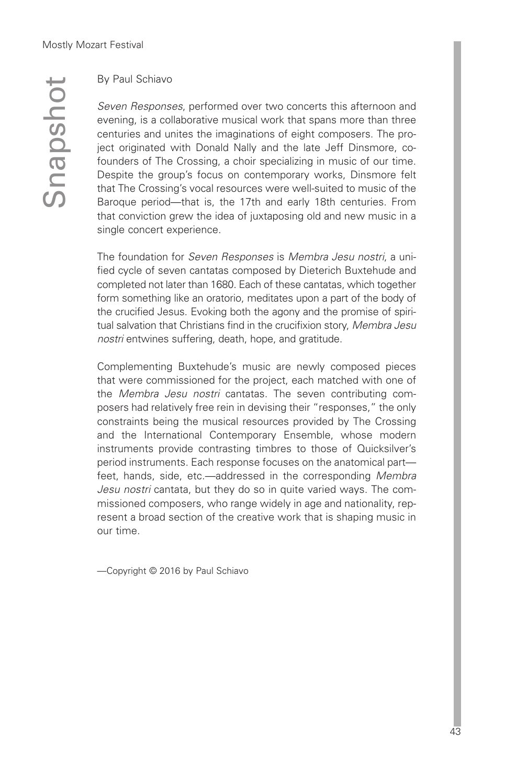$\mathcal O$  $\subseteq$  $\boldsymbol{\sigma}$  $\Omega$  $\mathcal{O}$  $\mathbf{\Omega}$ o  $\overline{\phantom{a}}$ 

## By Paul Schiavo

*Seven Responses*, performed over two concerts this afternoon and evening, is a collaborative musical work that spans more than three centuries and unites the imaginations of eight composers. The project originated with Donald Nally and the late Jeff Dinsmore, cofounders of The Crossing, a choir specializing in music of our time. Despite the group's focus on contemporary works, Dinsmore felt that The Crossing's vocal resources were well-suited to music of the Baroque period—that is, the 17th and early 18th centuries. From that conviction grew the idea of juxtaposing old and new music in a single concert experience.

The foundation for *Seven Responses* is *Membra Jesu nostri*, a unified cycle of seven cantatas composed by Dieterich Buxtehude and completed not later than 1680. Each of these cantatas, which together form something like an oratorio, meditates upon a part of the body of the crucified Jesus. Evoking both the agony and the promise of spiritual salvation that Christians find in the crucifixion story, *Membra Jesu nostri* entwines suffering, death, hope, and gratitude.

Complementing Buxtehude's music are newly composed pieces that were commissioned for the project, each matched with one of the *Membra Jesu nostri* cantatas. The seven contributing composers had relatively free rein in devising their "responses," the only constraints being the musical resources provided by The Crossing and the International Contemporary Ensemble, whose modern instruments provide contrasting timbres to those of Quicksilver's period instruments. Each response focuses on the anatomical part feet, hands, side, etc.—addressed in the corresponding *Membra Jesu nostri* cantata, but they do so in quite varied ways. The commissioned composers, who range widely in age and nationality, represent a broad section of the creative work that is shaping music in our time.

—Copyright © 2016 by Paul Schiavo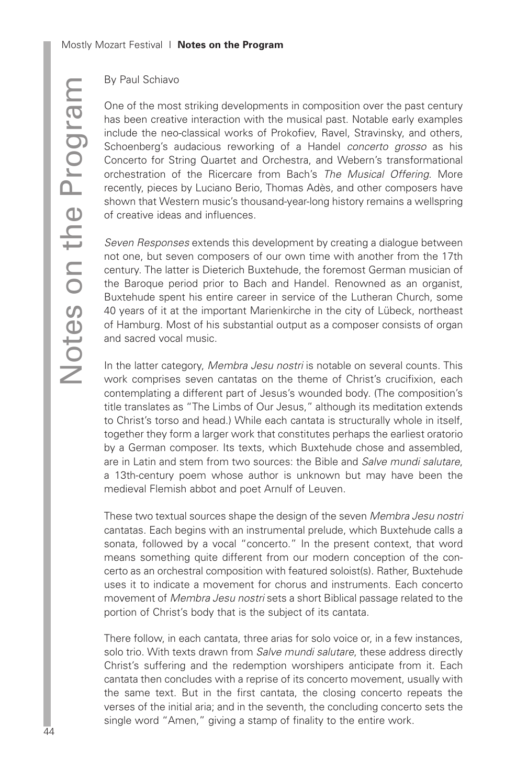## By Paul Schiavo

One of the most striking developments in composition over the past century has been creative interaction with the musical past. Notable early examples include the neo-classical works of Prokofiev, Ravel, Stravinsky, and others, Schoenberg's audacious reworking of a Handel *concerto grosso* as his Concerto for String Quartet and Orchestra, and Webern's transformational orchestration of the Ricercare from Bach's *The Musical Offering*. More recently, pieces by Luciano Berio, Thomas Adès, and other composers have shown that Western music's thousand-year-long history remains a wellspring of creative ideas and influences.

*Seven Responses* extends this development by creating a dialogue between not one, but seven composers of our own time with another from the 17th century. The latter is Dieterich Buxtehude, the foremost German musician of the Baroque period prior to Bach and Handel. Renowned as an organist, Buxtehude spent his entire career in service of the Lutheran Church, some 40 years of it at the important Marienkirche in the city of Lübeck, northeast of Hamburg. Most of his substantial output as a composer consists of organ and sacred vocal music.

In the latter category, *Membra Jesu nostri* is notable on several counts. This work comprises seven cantatas on the theme of Christ's crucifixion, each contemplating a different part of Jesus's wounded body. (The composition's title translates as "The Limbs of Our Jesus," although its meditation extends to Christ's torso and head.) While each cantata is structurally whole in itself, together they form a larger work that constitutes perhaps the earliest oratorio by a German composer. Its texts, which Buxtehude chose and assembled, are in Latin and stem from two sources: the Bible and *Salve mundi salutare*, a 13th-century poem whose author is unknown but may have been the medieval Flemish abbot and poet Arnulf of Leuven.

These two textual sources shape the design of the seven *Membra Jesu nostri* cantatas. Each begins with an instrumental prelude, which Buxtehude calls a sonata, followed by a vocal "concerto." In the present context, that word means something quite different from our modern conception of the concerto as an orchestral composition with featured soloist(s). Rather, Buxtehude uses it to indicate a movement for chorus and instruments. Each concerto movement of *Membra Jesu nostri* sets a short Biblical passage related to the portion of Christ's body that is the subject of its cantata.

There follow, in each cantata, three arias for solo voice or, in a few instances, solo trio. With texts drawn from *Salve mundi salutare*, these address directly Christ's suffering and the redemption worshipers anticipate from it. Each cantata then concludes with a reprise of its concerto movement, usually with the same text. But in the first cantata, the closing concerto repeats the verses of the initial aria; and in the seventh, the concluding concerto sets the single word "Amen," giving a stamp of finality to the entire work.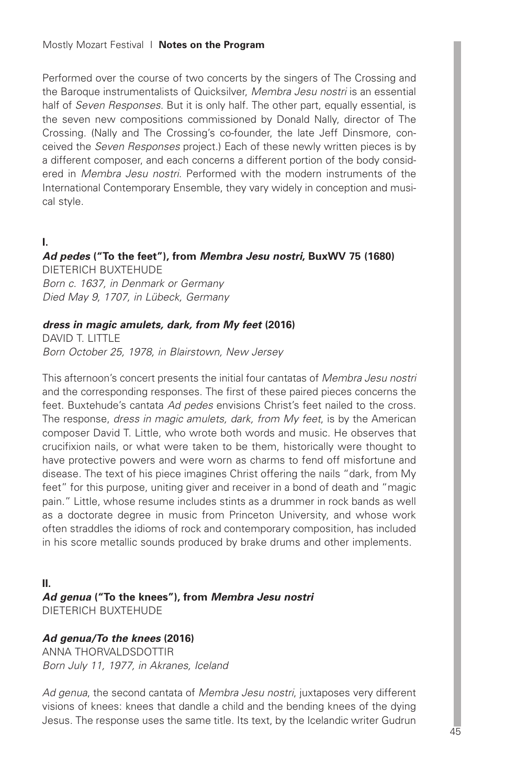Performed over the course of two concerts by the singers of The Crossing and the Baroque instrumentalists of Quicksilver, *Membra Jesu nostri* is an essential half of *Seven Responses*. But it is only half. The other part, equally essential, is the seven new compositions commissioned by Donald Nally, director of The Crossing. (Nally and The Crossing's co-founder, the late Jeff Dinsmore, conceived the *Seven Responses* project.) Each of these newly written pieces is by a different composer, and each concerns a different portion of the body considered in *Membra Jesu nostri*. Performed with the modern instruments of the International Contemporary Ensemble, they vary widely in conception and musical style.

## **I.**

*Ad pedes* **("To the feet"), from** *Membra Jesu nostri***, BuxWV 75 (1680)** DIETERICH BUXTEHUDE

*Born c. 1637, in Denmark or Germany Died May 9, 1707, in Lübeck, Germany*

## *dress in magic amulets, dark, from My feet* **(2016)**

DAVID T. LITTLE *Born October 25, 1978, in Blairstown, New Jersey*

This afternoon's concert presents the initial four cantatas of *Membra Jesu nostri* and the corresponding responses. The first of these paired pieces concerns the feet. Buxtehude's cantata *Ad pedes* envisions Christ's feet nailed to the cross. The response, *dress in magic amulets, dark, from My feet*, is by the American composer David T. Little, who wrote both words and music. He observes that crucifixion nails, or what were taken to be them, historically were thought to have protective powers and were worn as charms to fend off misfortune and disease. The text of his piece imagines Christ offering the nails "dark, from My feet" for this purpose, uniting giver and receiver in a bond of death and "magic pain." Little, whose resume includes stints as a drummer in rock bands as well as a doctorate degree in music from Princeton University, and whose work often straddles the idioms of rock and contemporary composition, has included in his score metallic sounds produced by brake drums and other implements.

## **II.** *Ad genua* **("To the knees"), from** *Membra Jesu nostri* DIETERICH BUXTEHUDE

## *Ad genua/To the knees* **(2016)**

ANNA THORVALDSDOTTIR *Born July 11, 1977, in Akranes, Iceland*

*Ad genua*, the second cantata of *Membra Jesu nostri*, juxtaposes very different visions of knees: knees that dandle a child and the bending knees of the dying Jesus. The response uses the same title. Its text, by the Icelandic writer Gudrun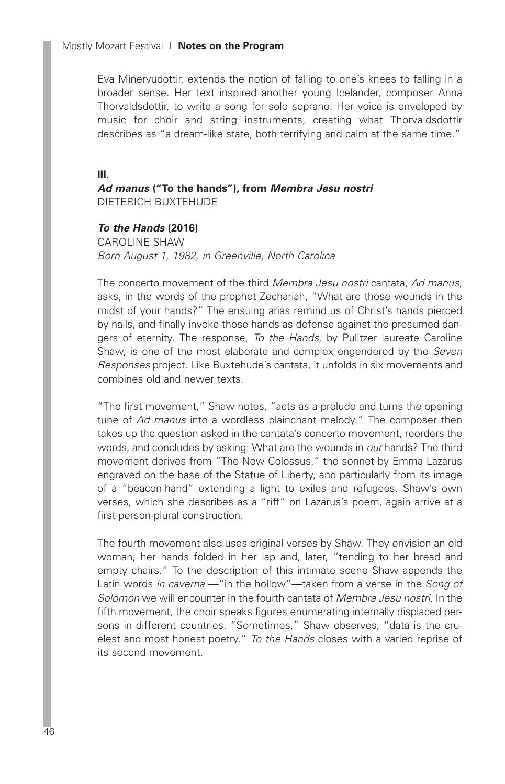Eva Minervudottir, extends the notion of falling to one's knees to falling in a broader sense. Her text inspired another young Icelander, composer Anna Thorvaldsdottir, to write a song for solo soprano. Her voice is enveloped by music for choir and string instruments, creating what Thorvaldsdottir describes as "a dream-like state, both terrifying and calm at the same time."

#### **III.**

*Ad manus* **("To the hands"), from** *Membra Jesu nostri* DIETERICH BUXTEHUDE

## *To the Hands* **(2016)**

CAROLINE SHAW *Born August 1, 1982, in Greenville, North Carolina*

The concerto movement of the third *Membra Jesu nostri* cantata, *Ad manus*, asks, in the words of the prophet Zechariah, "What are those wounds in the midst of your hands?" The ensuing arias remind us of Christ's hands pierced by nails, and finally invoke those hands as defense against the presumed dangers of eternity. The response, *To the Hands*, by Pulitzer laureate Caroline Shaw, is one of the most elaborate and complex engendered by the *Seven Responses* project. Like Buxtehude's cantata, it unfolds in six movements and combines old and newer texts.

"The first movement," Shaw notes, "acts as a prelude and turns the opening tune of *Ad manus* into a wordless plainchant melody." The composer then takes up the question asked in the cantata's concerto movement, reorders the words, and concludes by asking: What are the wounds in *our* hands? The third movement derives from "The New Colossus," the sonnet by Emma Lazarus engraved on the base of the Statue of Liberty, and particularly from its image of a "beacon-hand" extending a light to exiles and refugees. Shaw's own verses, which she describes as a "riff" on Lazarus's poem, again arrive at a first-person-plural construction.

The fourth movement also uses original verses by Shaw. They envision an old woman, her hands folded in her lap and, later, "tending to her bread and empty chairs." To the description of this intimate scene Shaw appends the Latin words *in caverna* —"in the hollow"—taken from a verse in the *Song of Solomon* we will encounter in the fourth cantata of *Membra Jesu nostri*. In the fifth movement, the choir speaks figures enumerating internally displaced persons in different countries. "Sometimes," Shaw observes, "data is the cruelest and most honest poetry." *To the Hands* closes with a varied reprise of its second movement.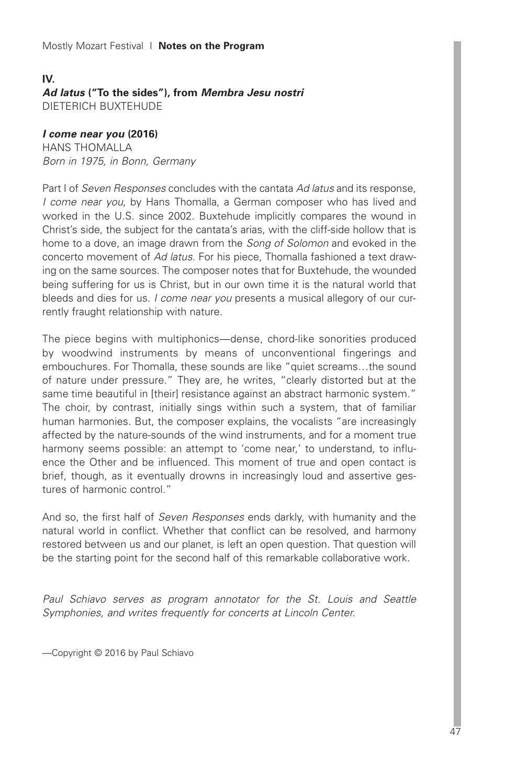## **IV.** *Ad latus* **("To the sides"), from** *Membra Jesu nostri* DIETERICH BUXTEHUDE

## *I come near you* **(2016)**

HANS THOMALLA *Born in 1975, in Bonn, Germany*

Part I of *Seven Responses* concludes with the cantata *Ad latus* and its response, *I come near you*, by Hans Thomalla, a German composer who has lived and worked in the U.S. since 2002. Buxtehude implicitly compares the wound in Christ's side, the subject for the cantata's arias, with the cliff-side hollow that is home to a dove, an image drawn from the *Song of Solomon* and evoked in the concerto movement of *Ad latus*. For his piece, Thomalla fashioned a text drawing on the same sources. The composer notes that for Buxtehude, the wounded being suffering for us is Christ, but in our own time it is the natural world that bleeds and dies for us. *I come near you* presents a musical allegory of our currently fraught relationship with nature.

The piece begins with multiphonics—dense, chord-like sonorities produced by woodwind instruments by means of unconventional fingerings and embouchures. For Thomalla, these sounds are like "quiet screams…the sound of nature under pressure." They are, he writes, "clearly distorted but at the same time beautiful in [their] resistance against an abstract harmonic system." The choir, by contrast, initially sings within such a system, that of familiar human harmonies. But, the composer explains, the vocalists "are increasingly affected by the nature-sounds of the wind instruments, and for a moment true harmony seems possible: an attempt to 'come near,' to understand, to influence the Other and be influenced. This moment of true and open contact is brief, though, as it eventually drowns in increasingly loud and assertive gestures of harmonic control."

And so, the first half of *Seven Responses* ends darkly, with humanity and the natural world in conflict. Whether that conflict can be resolved, and harmony restored between us and our planet, is left an open question. That question will be the starting point for the second half of this remarkable collaborative work.

*Paul Schiavo serves as program annotator for the St. Louis and Seattle Symphonies, and writes frequently for concerts at Lincoln Center.*

—Copyright © 2016 by Paul Schiavo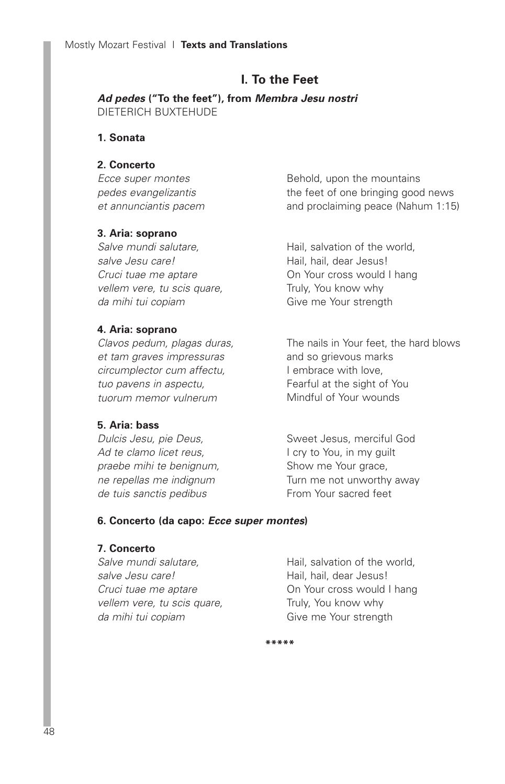## **I. To the Feet**

*Ad pedes* **("To the feet"), from** *Membra Jesu nostri* DIETERICH BUXTEHUDE

## **1. Sonata**

## **2. Concerto**

*Ecce super montes pedes evangelizantis et annunciantis pacem*

## **3. Aria: soprano**

*Salve mundi salutare, salve Jesu care! Cruci tuae me aptare vellem vere, tu scis quare, da mihi tui copiam*

## **4. Aria: soprano**

*Clavos pedum, plagas duras, et tam graves impressuras circumplector cum affectu, tuo pavens in aspectu, tuorum memor vulnerum*

## **5. Aria: bass**

*Dulcis Jesu, pie Deus, Ad te clamo licet reus, praebe mihi te benignum, ne repellas me indignum de tuis sanctis pedibus*

Behold, upon the mountains the feet of one bringing good news and proclaiming peace (Nahum 1:15)

Hail, salvation of the world, Hail, hail, dear Jesus! On Your cross would I hang Truly, You know why Give me Your strength

The nails in Your feet, the hard blows and so grievous marks I embrace with love, Fearful at the sight of You Mindful of Your wounds

Sweet Jesus, merciful God I cry to You, in my guilt Show me Your grace, Turn me not unworthy away From Your sacred feet

## **6. Concerto (da capo:** *Ecce super montes***)**

## **7. Concerto**

*Salve mundi salutare, salve Jesu care! Cruci tuae me aptare vellem vere, tu scis quare, da mihi tui copiam*

Hail, salvation of the world, Hail, hail, dear Jesus! On Your cross would I hang Truly, You know why Give me Your strength

**\*\*\*\*\***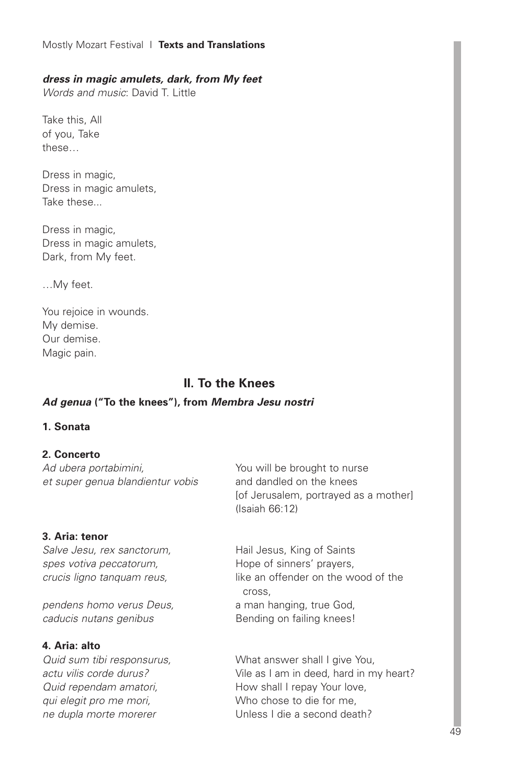#### Mostly Mozart Festival I **Texts and Translations**

#### *dress in magic amulets, dark, from My feet*

*Words and music*: David T. Little

Take this, All of you, Take these…

Dress in magic, Dress in magic amulets, Take these...

Dress in magic, Dress in magic amulets, Dark, from My feet.

…My feet.

You rejoice in wounds. My demise. Our demise. Magic pain.

## **II. To the Knees**

#### *Ad genua* **("To the knees"), from** *Membra Jesu nostri*

#### **1. Sonata**

## **2. Concerto**

*Ad ubera portabimini, et super genua blandientur vobis*

#### **3. Aria: tenor**

*Salve Jesu, rex sanctorum, spes votiva peccatorum, crucis ligno tanquam reus,*

*pendens homo verus Deus, caducis nutans genibus*

#### **4. Aria: alto**

*Quid sum tibi responsurus, actu vilis corde durus? Quid rependam amatori, qui elegit pro me mori, ne dupla morte morerer*

You will be brought to nurse and dandled on the knees [of Jerusalem, portrayed as a mother] (Isaiah 66:12)

Hail Jesus, King of Saints Hope of sinners' prayers, like an offender on the wood of the cross, a man hanging, true God, Bending on failing knees!

What answer shall I give You, Vile as I am in deed, hard in my heart? How shall I repay Your love, Who chose to die for me, Unless I die a second death?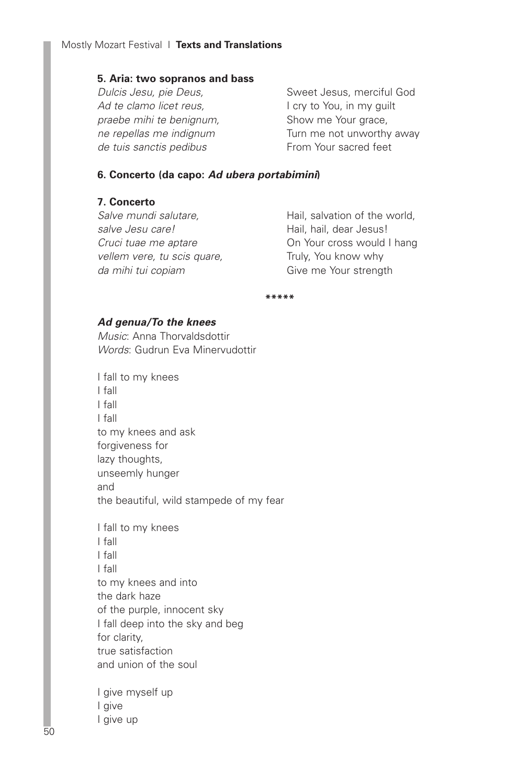#### **5. Aria: two sopranos and bass**

*Dulcis Jesu, pie Deus, Ad te clamo licet reus, praebe mihi te benignum, ne repellas me indignum de tuis sanctis pedibus*

Sweet Jesus, merciful God I cry to You, in my guilt Show me Your grace, Turn me not unworthy away From Your sacred feet

## **6. Concerto (da capo:** *Ad ubera portabimini***)**

## **7. Concerto**

*Salve mundi salutare, salve Jesu care! Cruci tuae me aptare vellem vere, tu scis quare, da mihi tui copiam*

Hail, salvation of the world, Hail, hail, dear Jesus! On Your cross would I hang Truly, You know why Give me Your strength

**\*\*\*\*\***

## *Ad genua/To the knees*

*Music*: Anna Thorvaldsdottir *Words*: Gudrun Eva Minervudottir

I fall to my knees I fall I fall I fall to my knees and ask forgiveness for lazy thoughts, unseemly hunger and the beautiful, wild stampede of my fear

I fall to my knees I fall I fall I fall to my knees and into the dark haze of the purple, innocent sky I fall deep into the sky and beg for clarity, true satisfaction and union of the soul

I give myself up I give I give up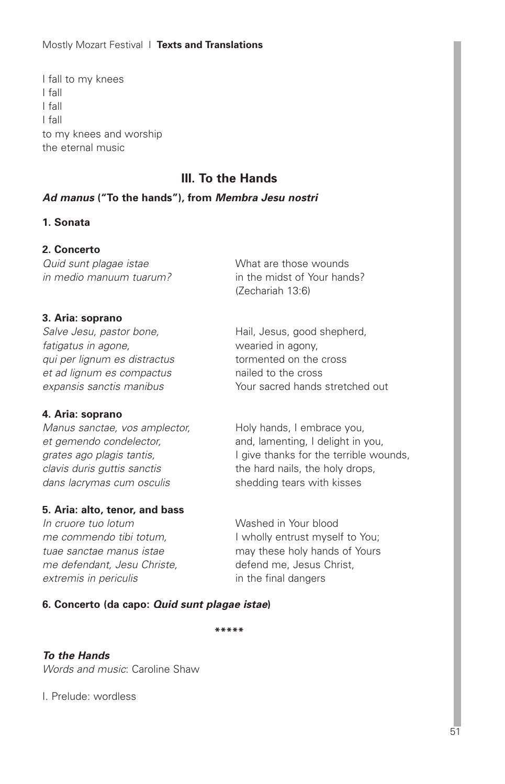Mostly Mozart Festival I **Texts and Translations**

I fall to my knees I fall I fall I fall to my knees and worship the eternal music

# **III. To the Hands**

## *Ad manus* **("To the hands"), from** *Membra Jesu nostri*

## **1. Sonata**

## **2. Concerto**

*Quid sunt plagae istae in medio manuum tuarum?*

#### **3. Aria: soprano**

*Salve Jesu, pastor bone, fatigatus in agone, qui per lignum es distractus et ad lignum es compactus expansis sanctis manibus*

#### **4. Aria: soprano**

*Manus sanctae, vos amplector, et gemendo condelector, grates ago plagis tantis, clavis duris guttis sanctis dans lacrymas cum osculis*

## **5. Aria: alto, tenor, and bass**

*In cruore tuo lotum me commendo tibi totum, tuae sanctae manus istae me defendant, Jesu Christe, extremis in periculis*

What are those wounds in the midst of Your hands? (Zechariah 13:6)

Hail, Jesus, good shepherd, wearied in agony, tormented on the cross nailed to the cross Your sacred hands stretched out

Holy hands, I embrace you, and, lamenting, I delight in you, I give thanks for the terrible wounds, the hard nails, the holy drops, shedding tears with kisses

Washed in Your blood I wholly entrust myself to You; may these holy hands of Yours defend me, Jesus Christ, in the final dangers

#### **6. Concerto (da capo:** *Quid sunt plagae istae***)**

**\*\*\*\*\***

## *To the Hands*

*Words and music*: Caroline Shaw

I. Prelude: wordless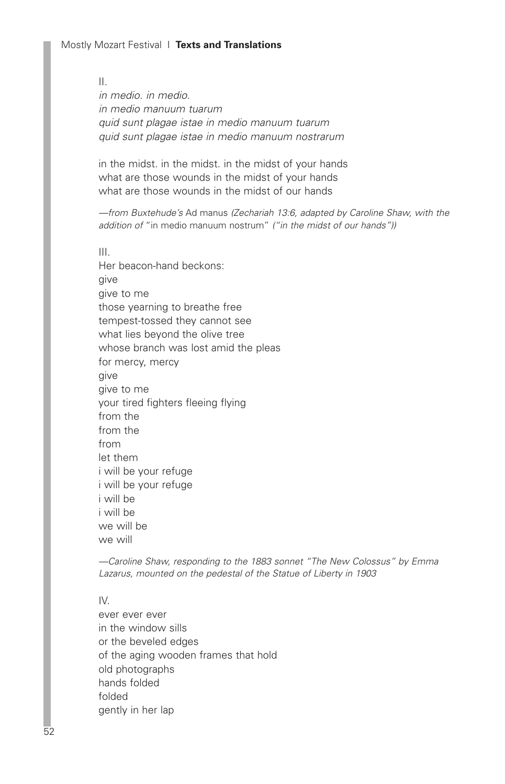II. *in medio. in medio. in medio manuum tuarum quid sunt plagae istae in medio manuum tuarum quid sunt plagae istae in medio manuum nostrarum*

in the midst. in the midst. in the midst of your hands what are those wounds in the midst of your hands what are those wounds in the midst of our hands

*—from Buxtehude's* Ad manus *(Zechariah 13:6, adapted by Caroline Shaw, with the addition of* "in medio manuum nostrum" *("in the midst of our hands"))*

III. Her beacon-hand beckons: give give to me those yearning to breathe free tempest-tossed they cannot see what lies beyond the olive tree whose branch was lost amid the pleas for mercy, mercy give give to me your tired fighters fleeing flying from the from the from let them i will be your refuge i will be your refuge i will be i will be we will be we will

*—Caroline Shaw, responding to the 1883 sonnet "The New Colossus" by Emma Lazarus, mounted on the pedestal of the Statue of Liberty in 1903*

#### $IV$

ever ever ever in the window sills or the beveled edges of the aging wooden frames that hold old photographs hands folded folded gently in her lap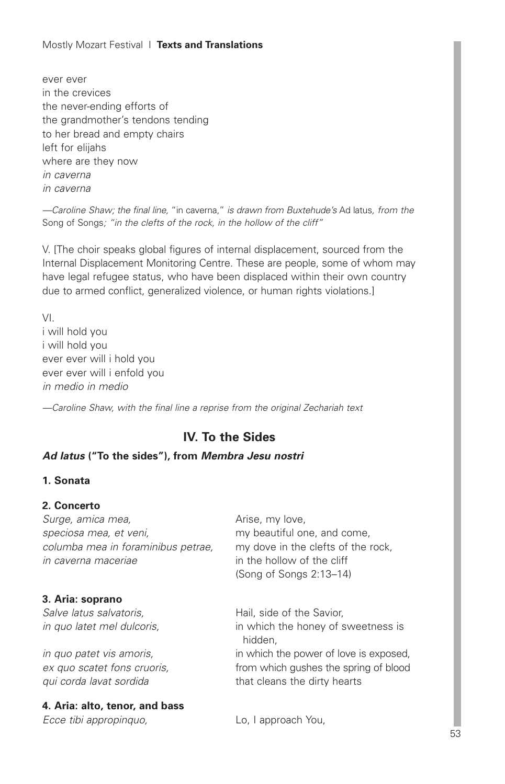## Mostly Mozart Festival I **Texts and Translations**

ever ever in the crevices the never-ending efforts of the grandmother's tendons tending to her bread and empty chairs left for elijahs where are they now *in caverna in caverna*

*—Caroline Shaw; the final line,* "in caverna," *is drawn from Buxtehude's* Ad latus*, from the* Song of Songs*; "in the clefts of the rock, in the hollow of the cliff"*

V. [The choir speaks global figures of internal displacement, sourced from the Internal Displacement Monitoring Centre. These are people, some of whom may have legal refugee status, who have been displaced within their own country due to armed conflict, generalized violence, or human rights violations.]

VI. i will hold you i will hold you ever ever will i hold you ever ever will i enfold you *in medio in medio*

*—Caroline Shaw, with the final line a reprise from the original Zechariah text*

# **IV. To the Sides**

## *Ad latus* **("To the sides"), from** *Membra Jesu nostri*

## **1. Sonata**

## **2. Concerto**

*Surge, amica mea, speciosa mea, et veni, columba mea in foraminibus petrae, in caverna maceriae*

## **3. Aria: soprano**

*Salve latus salvatoris, in quo latet mel dulcoris,*

*in quo patet vis amoris, ex quo scatet fons cruoris, qui corda lavat sordida*

## **4. Aria: alto, tenor, and bass**

*Ecce tibi appropinquo,*

Arise, my love, my beautiful one, and come, my dove in the clefts of the rock, in the hollow of the cliff (Song of Songs 2:13–14)

Hail, side of the Savior, in which the honey of sweetness is hidden, in which the power of love is exposed, from which gushes the spring of blood that cleans the dirty hearts

Lo, I approach You,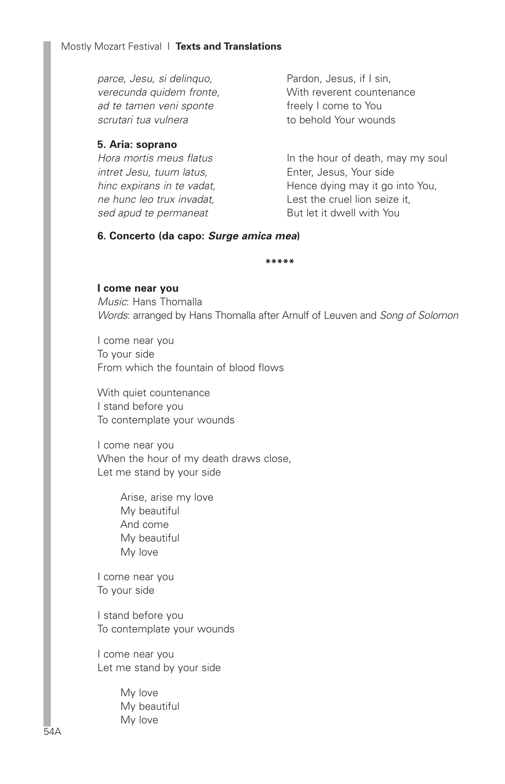*parce, Jesu, si delinquo, verecunda quidem fronte, ad te tamen veni sponte scrutari tua vulnera*

## **5. Aria: soprano**

| Hence dying may it go into You, |
|---------------------------------|
|                                 |
|                                 |
|                                 |

Pardon, Jesus, if I sin, With reverent countenance freely I come to You to behold Your wounds

#### **6. Concerto (da capo:** *Surge amica mea***)**

**\*\*\*\*\***

#### **I come near you**

*Music*: Hans Thomalla *Words*: arranged by Hans Thomalla after Arnulf of Leuven and *Song of Solomon*

I come near you To your side From which the fountain of blood flows

With quiet countenance I stand before you To contemplate your wounds

I come near you When the hour of my death draws close, Let me stand by your side

> Arise, arise my love My beautiful And come My beautiful My love

I come near you To your side

I stand before you To contemplate your wounds

I come near you Let me stand by your side

> My love My beautiful My love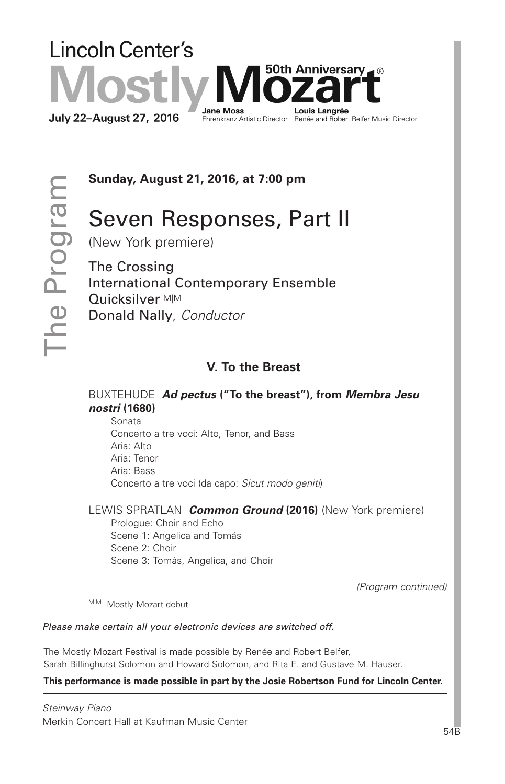# **Lincoln Center's** 50th Anniversarv⊿ ® **Jane Moss** Louis Langrée **July 22-August 27, 2016** Ebuild Louis Langred<br>Ehrenkranz Artistic Director Renée and Robert Belfer Music Director

**Sunday, August 21, 2016, at 7:00 pm**

# Seven Responses, Part II

(New York premiere)

The Crossing International Contemporary Ensemble Quicksilver <sub>M|M</sub> Donald Nally, *Conductor*

# **V. To the Breast**

BUXTEHUDE *Ad pectus* **("To the breast"), from** *Membra Jesu nostri* **(1680)**

 Sonata Concerto a tre voci: Alto, Tenor, and Bass Aria: Alto Aria: Tenor Aria: Bass Concerto a tre voci (da capo: *Sicut modo geniti*)

LEWIS SPRATLAN *Common Ground* **(2016)** (New York premiere) Prologue: Choir and Echo Scene 1: Angelica and Tomás Scene 2: Choir Scene 3: Tomás, Angelica, and Choir

*(Program continued)*

M|M Mostly Mozart debut

*Please make certain all your electronic devices are switched off.*

The Mostly Mozart Festival is made possible by Renée and Robert Belfer, Sarah Billinghurst Solomon and Howard Solomon, and Rita E. and Gustave M. Hauser.

**This performance is made possible in part by the Josie Robertson Fund for Lincoln Center.**

*Steinway Piano* Merkin Concert Hall at Kaufman Music Center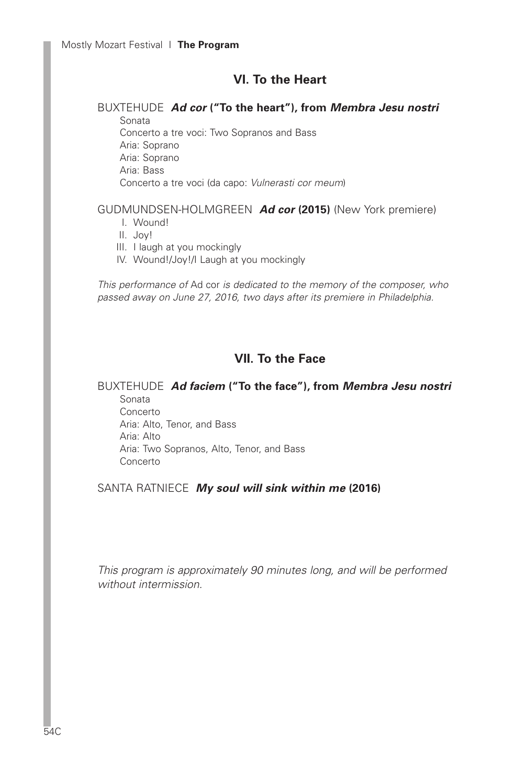## **VI. To the Heart**

#### BUXTEHUDE *Ad cor* **("To the heart"), from** *Membra Jesu nostri* Sonata

 Concerto a tre voci: Two Sopranos and Bass Aria: Soprano Aria: Soprano Aria: Bass Concerto a tre voci (da capo: *Vulnerasti cor meum*)

## GUDMUNDSEN-HOLMGREEN *Ad cor* **(2015)** (New York premiere)

- I. Wound!
- II. Joy!
- III. I laugh at you mockingly
- IV. Wound!/Joy!/I Laugh at you mockingly

*This performance of* Ad cor *is dedicated to the memory of the composer, who passed away on June 27, 2016, two days after its premiere in Philadelphia.*

# **VII. To the Face**

## BUXTEHUDE *Ad faciem* **("To the face"), from** *Membra Jesu nostri* Sonata

 Concerto Aria: Alto, Tenor, and Bass Aria: Alto Aria: Two Sopranos, Alto, Tenor, and Bass Concerto

SANTA RATNIECE *My soul will sink within me* **(2016)**

*This program is approximately 90 minutes long, and will be performed without intermission.*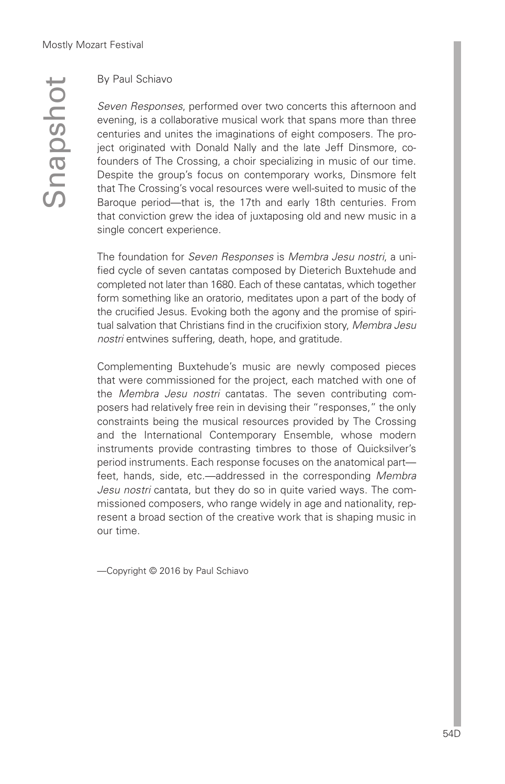$\mathcal O$  $\subseteq$  $\boldsymbol{\sigma}$  $\Omega$  $\mathcal{O}$  $\mathbf{\Omega}$ o t

## By Paul Schiavo

*Seven Responses*, performed over two concerts this afternoon and evening, is a collaborative musical work that spans more than three centuries and unites the imaginations of eight composers. The project originated with Donald Nally and the late Jeff Dinsmore, cofounders of The Crossing, a choir specializing in music of our time. Despite the group's focus on contemporary works, Dinsmore felt that The Crossing's vocal resources were well-suited to music of the Baroque period—that is, the 17th and early 18th centuries. From that conviction grew the idea of juxtaposing old and new music in a single concert experience.

The foundation for *Seven Responses* is *Membra Jesu nostri*, a unified cycle of seven cantatas composed by Dieterich Buxtehude and completed not later than 1680. Each of these cantatas, which together form something like an oratorio, meditates upon a part of the body of the crucified Jesus. Evoking both the agony and the promise of spiritual salvation that Christians find in the crucifixion story, *Membra Jesu nostri* entwines suffering, death, hope, and gratitude.

Complementing Buxtehude's music are newly composed pieces that were commissioned for the project, each matched with one of the *Membra Jesu nostri* cantatas. The seven contributing composers had relatively free rein in devising their "responses," the only constraints being the musical resources provided by The Crossing and the International Contemporary Ensemble, whose modern instruments provide contrasting timbres to those of Quicksilver's period instruments. Each response focuses on the anatomical part feet, hands, side, etc.—addressed in the corresponding *Membra Jesu nostri* cantata, but they do so in quite varied ways. The commissioned composers, who range widely in age and nationality, represent a broad section of the creative work that is shaping music in our time.

—Copyright © 2016 by Paul Schiavo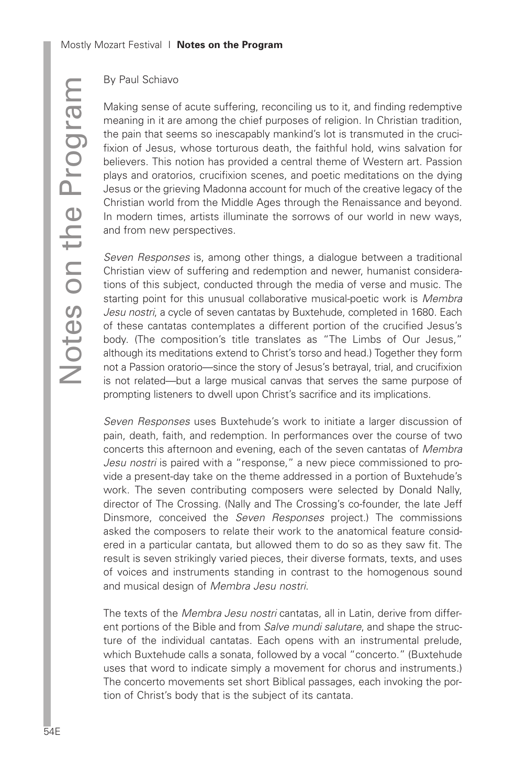## By Paul Schiavo

Making sense of acute suffering, reconciling us to it, and finding redemptive meaning in it are among the chief purposes of religion. In Christian tradition, the pain that seems so inescapably mankind's lot is transmuted in the crucifixion of Jesus, whose torturous death, the faithful hold, wins salvation for believers. This notion has provided a central theme of Western art. Passion plays and oratorios, crucifixion scenes, and poetic meditations on the dying Jesus or the grieving Madonna account for much of the creative legacy of the Christian world from the Middle Ages through the Renaissance and beyond. In modern times, artists illuminate the sorrows of our world in new ways, and from new perspectives.

*Seven Responses* is, among other things, a dialogue between a traditional Christian view of suffering and redemption and newer, humanist considerations of this subject, conducted through the media of verse and music. The starting point for this unusual collaborative musical-poetic work is *Membra Jesu nostri*, a cycle of seven cantatas by Buxtehude, completed in 1680. Each of these cantatas contemplates a different portion of the crucified Jesus's body. (The composition's title translates as "The Limbs of Our Jesus," although its meditations extend to Christ's torso and head.) Together they form not a Passion oratorio—since the story of Jesus's betrayal, trial, and crucifixion is not related—but a large musical canvas that serves the same purpose of prompting listeners to dwell upon Christ's sacrifice and its implications.

*Seven Responses* uses Buxtehude's work to initiate a larger discussion of pain, death, faith, and redemption. In performances over the course of two concerts this afternoon and evening, each of the seven cantatas of *Membra Jesu nostri* is paired with a "response," a new piece commissioned to provide a present-day take on the theme addressed in a portion of Buxtehude's work. The seven contributing composers were selected by Donald Nally, director of The Crossing. (Nally and The Crossing's co-founder, the late Jeff Dinsmore, conceived the *Seven Responses* project.) The commissions asked the composers to relate their work to the anatomical feature considered in a particular cantata, but allowed them to do so as they saw fit. The result is seven strikingly varied pieces, their diverse formats, texts, and uses of voices and instruments standing in contrast to the homogenous sound and musical design of *Membra Jesu nostri*.

The texts of the *Membra Jesu nostri* cantatas, all in Latin, derive from different portions of the Bible and from *Salve mundi salutare*, and shape the structure of the individual cantatas. Each opens with an instrumental prelude, which Buxtehude calls a sonata, followed by a vocal "concerto." (Buxtehude uses that word to indicate simply a movement for chorus and instruments.) The concerto movements set short Biblical passages, each invoking the portion of Christ's body that is the subject of its cantata.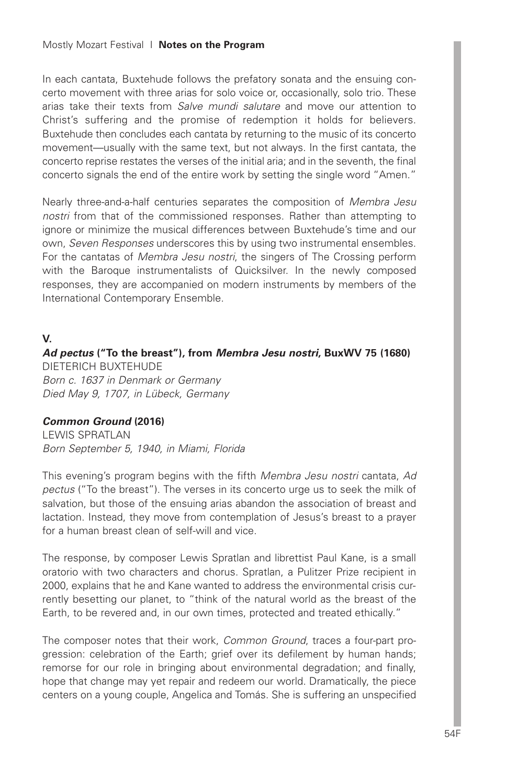In each cantata, Buxtehude follows the prefatory sonata and the ensuing concerto movement with three arias for solo voice or, occasionally, solo trio. These arias take their texts from *Salve mundi salutare* and move our attention to Christ's suffering and the promise of redemption it holds for believers. Buxtehude then concludes each cantata by returning to the music of its concerto movement—usually with the same text, but not always. In the first cantata, the concerto reprise restates the verses of the initial aria; and in the seventh, the final concerto signals the end of the entire work by setting the single word "Amen."

Nearly three-and-a-half centuries separates the composition of *Membra Jesu nostri* from that of the commissioned responses. Rather than attempting to ignore or minimize the musical differences between Buxtehude's time and our own, *Seven Responses* underscores this by using two instrumental ensembles. For the cantatas of *Membra Jesu nostri*, the singers of The Crossing perform with the Baroque instrumentalists of Quicksilver. In the newly composed responses, they are accompanied on modern instruments by members of the International Contemporary Ensemble.

## **V.**

*Ad pectus* **("To the breast"), from** *Membra Jesu nostri***, BuxWV 75 (1680)** DIETERICH BUXTEHUDE *Born c. 1637 in Denmark or Germany Died May 9, 1707, in Lübeck, Germany*

## *Common Ground* **(2016)**

LEWIS SPRATLAN *Born September 5, 1940, in Miami, Florida*

This evening's program begins with the fifth *Membra Jesu nostri* cantata, *Ad pectus* ("To the breast"). The verses in its concerto urge us to seek the milk of salvation, but those of the ensuing arias abandon the association of breast and lactation. Instead, they move from contemplation of Jesus's breast to a prayer for a human breast clean of self-will and vice.

The response, by composer Lewis Spratlan and librettist Paul Kane, is a small oratorio with two characters and chorus. Spratlan, a Pulitzer Prize recipient in 2000, explains that he and Kane wanted to address the environmental crisis currently besetting our planet, to "think of the natural world as the breast of the Earth, to be revered and, in our own times, protected and treated ethically."

The composer notes that their work, *Common Ground*, traces a four-part progression: celebration of the Earth; grief over its defilement by human hands; remorse for our role in bringing about environmental degradation; and finally, hope that change may yet repair and redeem our world. Dramatically, the piece centers on a young couple, Angelica and Tomás. She is suffering an unspecified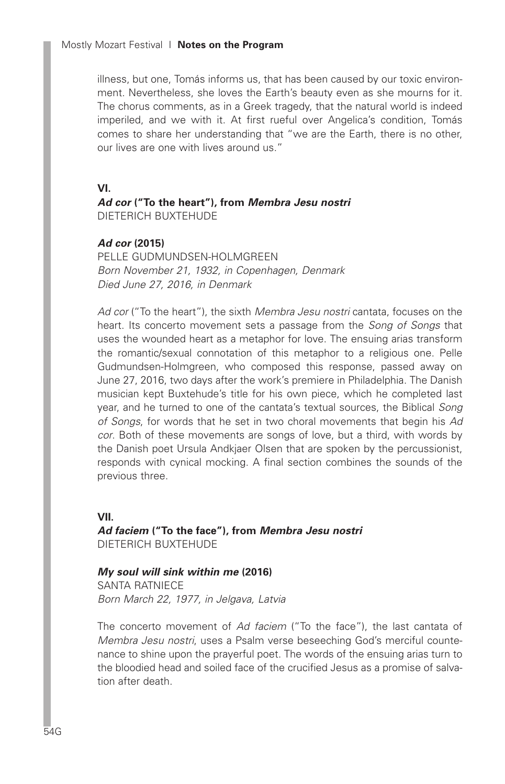illness, but one, Tomás informs us, that has been caused by our toxic environment. Nevertheless, she loves the Earth's beauty even as she mourns for it. The chorus comments, as in a Greek tragedy, that the natural world is indeed imperiled, and we with it. At first rueful over Angelica's condition, Tomás comes to share her understanding that "we are the Earth, there is no other, our lives are one with lives around us."

**VI.**

*Ad cor* **("To the heart"), from** *Membra Jesu nostri* DIETERICH BUXTEHUDE

#### *Ad cor* **(2015)**

PELLE GUDMUNDSEN-HOLMGREEN *Born November 21, 1932, in Copenhagen, Denmark Died June 27, 2016, in Denmark*

*Ad cor* ("To the heart"), the sixth *Membra Jesu nostri* cantata, focuses on the heart. Its concerto movement sets a passage from the *Song of Songs* that uses the wounded heart as a metaphor for love. The ensuing arias transform the romantic/sexual connotation of this metaphor to a religious one. Pelle Gudmundsen-Holmgreen, who composed this response, passed away on June 27, 2016, two days after the work's premiere in Philadelphia. The Danish musician kept Buxtehude's title for his own piece, which he completed last year, and he turned to one of the cantata's textual sources, the Biblical *Song of Songs*, for words that he set in two choral movements that begin his *Ad cor*. Both of these movements are songs of love, but a third, with words by the Danish poet Ursula Andkjaer Olsen that are spoken by the percussionist, responds with cynical mocking. A final section combines the sounds of the previous three.

**VII.** *Ad faciem* **("To the face"), from** *Membra Jesu nostri* DIETERICH BUXTEHUDE

*My soul will sink within me* **(2016)** SANTA RATNIECE *Born March 22, 1977, in Jelgava, Latvia*

The concerto movement of *Ad faciem* ("To the face"), the last cantata of *Membra Jesu nostri*, uses a Psalm verse beseeching God's merciful countenance to shine upon the prayerful poet. The words of the ensuing arias turn to the bloodied head and soiled face of the crucified Jesus as a promise of salvation after death.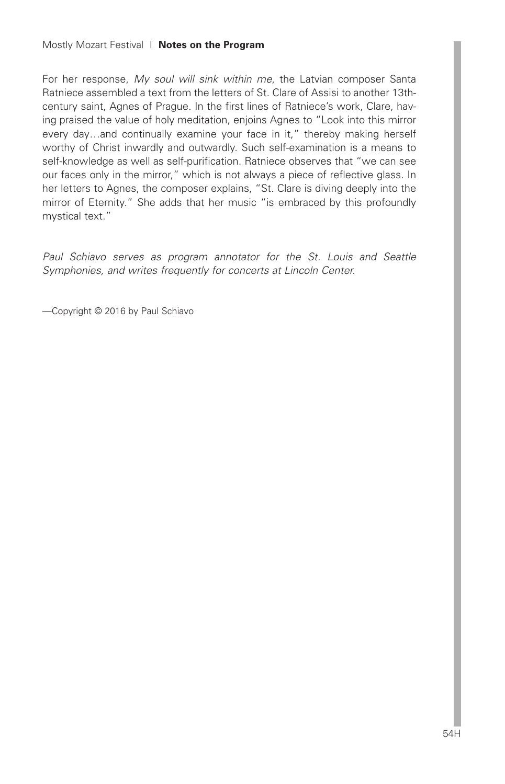For her response, *My soul will sink within me*, the Latvian composer Santa Ratniece assembled a text from the letters of St. Clare of Assisi to another 13thcentury saint, Agnes of Prague. In the first lines of Ratniece's work, Clare, having praised the value of holy meditation, enjoins Agnes to "Look into this mirror every day...and continually examine your face in it," thereby making herself worthy of Christ inwardly and outwardly. Such self-examination is a means to self-knowledge as well as self-purification. Ratniece observes that "we can see our faces only in the mirror," which is not always a piece of reflective glass. In her letters to Agnes, the composer explains, "St. Clare is diving deeply into the mirror of Eternity." She adds that her music "is embraced by this profoundly mystical text."

*Paul Schiavo serves as program annotator for the St. Louis and Seattle Symphonies, and writes frequently for concerts at Lincoln Center.*

—Copyright © 2016 by Paul Schiavo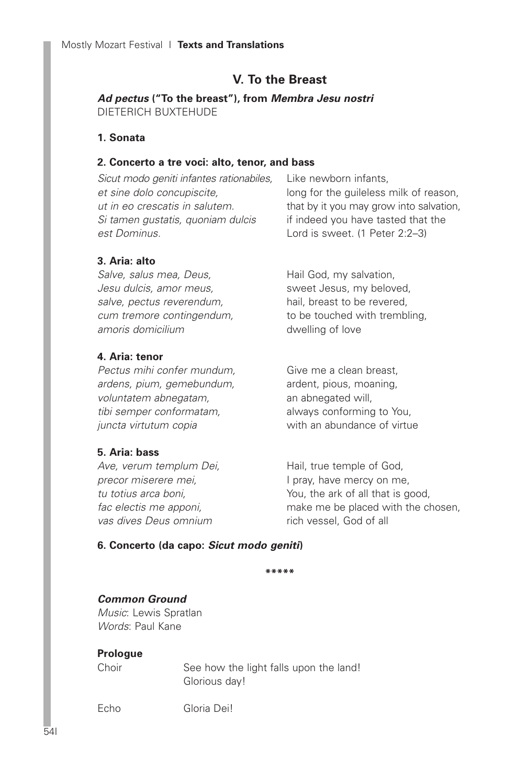# **V. To the Breast**

*Ad pectus* **("To the breast"), from** *Membra Jesu nostri* DIETERICH BUXTEHUDE

## **1. Sonata**

## **2. Concerto a tre voci: alto, tenor, and bass**

*Sicut modo geniti infantes rationabiles, et sine dolo concupiscite, ut in eo crescatis in salutem. Si tamen gustatis, quoniam dulcis est Dominus.*

Like newborn infants, long for the guileless milk of reason, that by it you may grow into salvation, if indeed you have tasted that the Lord is sweet. (1 Peter 2:2–3)

## **3. Aria: alto**

*Salve, salus mea, Deus, Jesu dulcis, amor meus, salve, pectus reverendum, cum tremore contingendum, amoris domicilium*

## **4. Aria: tenor**

*Pectus mihi confer mundum, ardens, pium, gemebundum, voluntatem abnegatam, tibi semper conformatam, juncta virtutum copia*

## **5. Aria: bass**

*Ave, verum templum Dei, precor miserere mei, tu totius arca boni, fac electis me apponi, vas dives Deus omnium*

Hail God, my salvation, sweet Jesus, my beloved, hail, breast to be revered, to be touched with trembling, dwelling of love

Give me a clean breast, ardent, pious, moaning, an abnegated will, always conforming to You, with an abundance of virtue

Hail, true temple of God, I pray, have mercy on me, You, the ark of all that is good, make me be placed with the chosen, rich vessel, God of all

## **6. Concerto (da capo:** *Sicut modo geniti***)**

**\*\*\*\*\***

## *Common Ground*

*Music*: Lewis Spratlan *Words*: Paul Kane

## **Prologue**

Choir See how the light falls upon the land! Glorious day!

Echo Gloria Dei!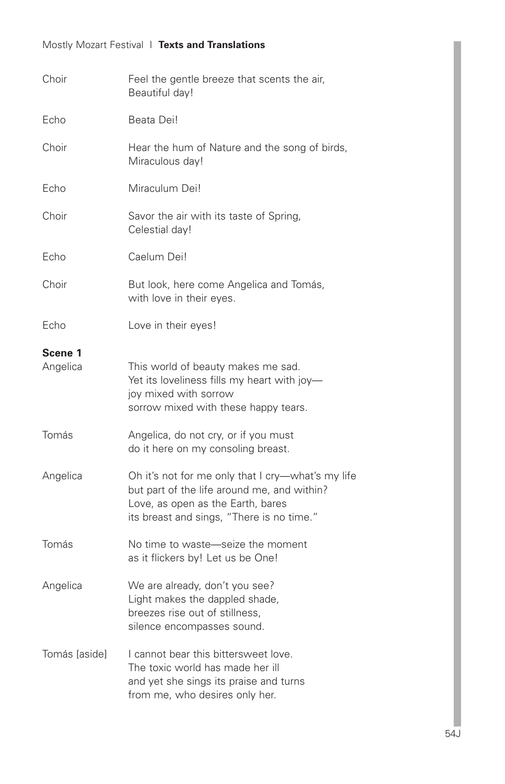# Mostly Mozart Festival I **Texts and Translations**

| Choir               | Feel the gentle breeze that scents the air,<br>Beautiful day!                                                                                                                      |  |  |  |
|---------------------|------------------------------------------------------------------------------------------------------------------------------------------------------------------------------------|--|--|--|
| Echo                | Beata Dei!                                                                                                                                                                         |  |  |  |
| Choir               | Hear the hum of Nature and the song of birds,<br>Miraculous day!                                                                                                                   |  |  |  |
| Echo                | Miraculum Dei!                                                                                                                                                                     |  |  |  |
| Choir               | Savor the air with its taste of Spring,<br>Celestial day!                                                                                                                          |  |  |  |
| Echo                | Caelum Dei!                                                                                                                                                                        |  |  |  |
| Choir               | But look, here come Angelica and Tomás,<br>with love in their eyes.                                                                                                                |  |  |  |
| Echo                | Love in their eyes!                                                                                                                                                                |  |  |  |
| Scene 1<br>Angelica | This world of beauty makes me sad.<br>Yet its loveliness fills my heart with joy-<br>joy mixed with sorrow<br>sorrow mixed with these happy tears.                                 |  |  |  |
| Tomás               | Angelica, do not cry, or if you must<br>do it here on my consoling breast.                                                                                                         |  |  |  |
| Angelica            | Oh it's not for me only that I cry-what's my life<br>but part of the life around me, and within?<br>Love, as open as the Earth, bares<br>its breast and sings, "There is no time." |  |  |  |
| Tomás               | No time to waste-seize the moment<br>as it flickers by! Let us be One!                                                                                                             |  |  |  |
| Angelica            | We are already, don't you see?<br>Light makes the dappled shade,<br>breezes rise out of stillness,<br>silence encompasses sound.                                                   |  |  |  |
| Tomás [aside]       | I cannot bear this bittersweet love.<br>The toxic world has made her ill<br>and yet she sings its praise and turns<br>from me, who desires only her.                               |  |  |  |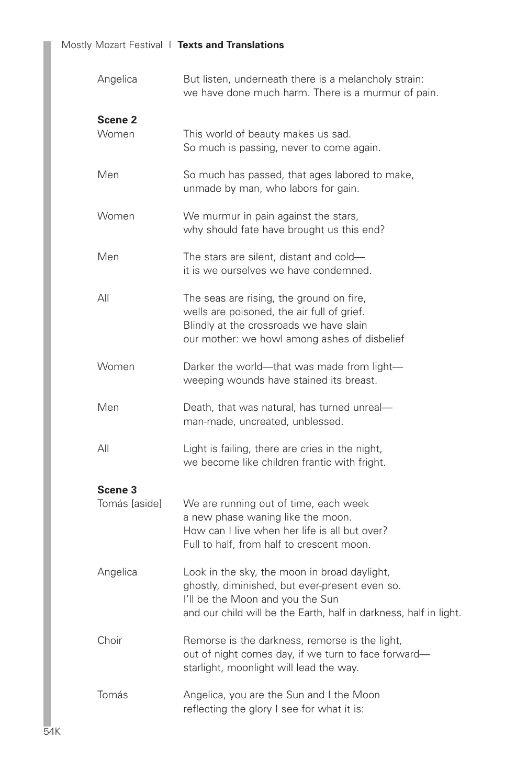| Angelica                            | But listen, underneath there is a melancholy strain:<br>we have done much harm. There is a murmur of pain.                                                                                              |  |  |
|-------------------------------------|---------------------------------------------------------------------------------------------------------------------------------------------------------------------------------------------------------|--|--|
| Scene <sub>2</sub><br>Women         | This world of beauty makes us sad.<br>So much is passing, never to come again.                                                                                                                          |  |  |
| Men                                 | So much has passed, that ages labored to make,<br>unmade by man, who labors for gain.                                                                                                                   |  |  |
| Women                               | We murmur in pain against the stars,<br>why should fate have brought us this end?                                                                                                                       |  |  |
| Men                                 | The stars are silent, distant and cold-<br>it is we ourselves we have condemned.                                                                                                                        |  |  |
| All                                 | The seas are rising, the ground on fire,<br>wells are poisoned, the air full of grief.<br>Blindly at the crossroads we have slain<br>our mother: we howl among ashes of disbelief                       |  |  |
| Women                               | Darker the world-that was made from light-<br>weeping wounds have stained its breast.                                                                                                                   |  |  |
| Men                                 | Death, that was natural, has turned unreal-<br>man-made, uncreated, unblessed.                                                                                                                          |  |  |
| All                                 | Light is failing, there are cries in the night,<br>we become like children frantic with fright.                                                                                                         |  |  |
| Scene <sub>3</sub><br>Tomás lasidel | We are running out of time, each week<br>a new phase waning like the moon.<br>How can I live when her life is all but over?<br>Full to half, from half to crescent moon.                                |  |  |
| Angelica                            | Look in the sky, the moon in broad daylight,<br>ghostly, diminished, but ever-present even so.<br>I'll be the Moon and you the Sun<br>and our child will be the Earth, half in darkness, half in light. |  |  |
| Choir                               | Remorse is the darkness, remorse is the light,<br>out of night comes day, if we turn to face forward-<br>starlight, moonlight will lead the way.                                                        |  |  |
| Tomás                               | Angelica, you are the Sun and I the Moon<br>reflecting the glory I see for what it is:                                                                                                                  |  |  |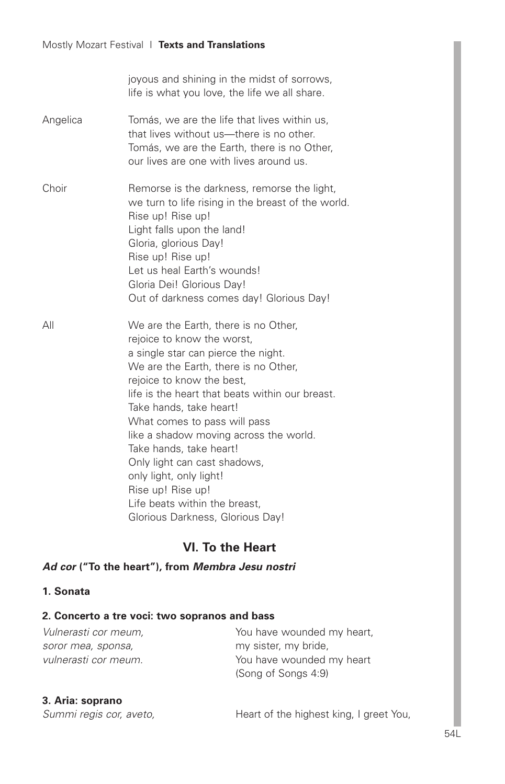|          | joyous and shining in the midst of sorrows,<br>life is what you love, the life we all share.                                                                                                                                                                                                                                                                                                                                                                                                                           |  |  |
|----------|------------------------------------------------------------------------------------------------------------------------------------------------------------------------------------------------------------------------------------------------------------------------------------------------------------------------------------------------------------------------------------------------------------------------------------------------------------------------------------------------------------------------|--|--|
| Angelica | Tomás, we are the life that lives within us,<br>that lives without us—there is no other.<br>Tomás, we are the Earth, there is no Other,<br>our lives are one with lives around us.                                                                                                                                                                                                                                                                                                                                     |  |  |
| Choir    | Remorse is the darkness, remorse the light,<br>we turn to life rising in the breast of the world.<br>Rise up! Rise up!<br>Light falls upon the land!<br>Gloria, glorious Day!<br>Rise up! Rise up!<br>Let us heal Earth's wounds!<br>Gloria Dei! Glorious Day!<br>Out of darkness comes day! Glorious Day!                                                                                                                                                                                                             |  |  |
| ΑIΙ      | We are the Earth, there is no Other,<br>rejoice to know the worst,<br>a single star can pierce the night.<br>We are the Earth, there is no Other,<br>rejoice to know the best.<br>life is the heart that beats within our breast.<br>Take hands, take heart!<br>What comes to pass will pass<br>like a shadow moving across the world.<br>Take hands, take heart!<br>Only light can cast shadows,<br>only light, only light!<br>Rise up! Rise up!<br>Life beats within the breast,<br>Glorious Darkness, Glorious Day! |  |  |

# **VI. To the Heart**

# *Ad cor* **("To the heart"), from** *Membra Jesu nostri*

## **1. Sonata**

## **2. Concerto a tre voci: two sopranos and bass**

| Vulnerasti cor meum. | You have wounded my heart, |
|----------------------|----------------------------|
| soror mea, sponsa,   | my sister, my bride,       |
| vulnerasti cor meum. | You have wounded my heart  |
|                      | (Song of Songs 4:9)        |

## **3. Aria: soprano**

| Summi regis cor, aveto, |  |  |
|-------------------------|--|--|
|                         |  |  |

Heart of the highest king, I greet You,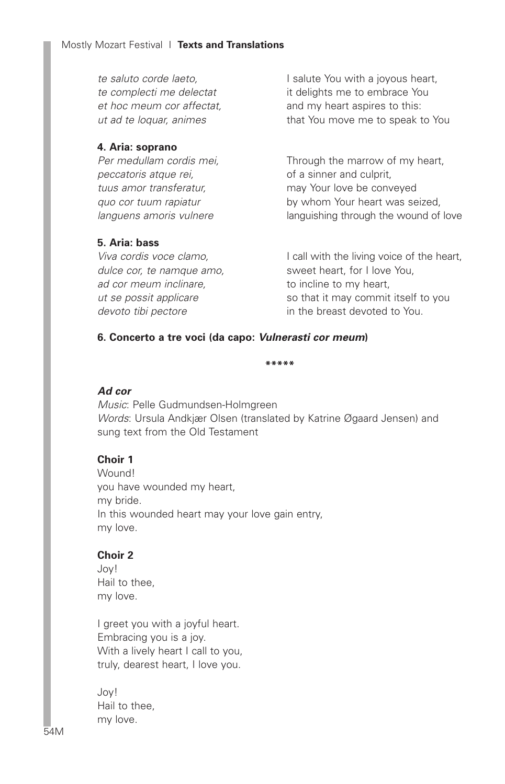*te saluto corde laeto, te complecti me delectat et hoc meum cor affectat, ut ad te loquar, animes*

#### **4. Aria: soprano**

*Per medullam cordis mei, peccatoris atque rei, tuus amor transferatur, quo cor tuum rapiatur languens amoris vulnere*

## **5. Aria: bass**

*Viva cordis voce clamo, dulce cor, te namque amo, ad cor meum inclinare, ut se possit applicare devoto tibi pectore*

I salute You with a joyous heart, it delights me to embrace You and my heart aspires to this: that You move me to speak to You

Through the marrow of my heart, of a sinner and culprit, may Your love be conveyed by whom Your heart was seized, languishing through the wound of love

I call with the living voice of the heart, sweet heart, for I love You, to incline to my heart, so that it may commit itself to you in the breast devoted to You.

## **6. Concerto a tre voci (da capo:** *Vulnerasti cor meum***)**

#### **\*\*\*\*\***

#### *Ad cor*

*Music*: Pelle Gudmundsen-Holmgreen *Words*: Ursula Andkjær Olsen (translated by Katrine Øgaard Jensen) and sung text from the Old Testament

## **Choir 1**

Wound! you have wounded my heart, my bride. In this wounded heart may your love gain entry, my love.

#### **Choir 2**

Joy! Hail to thee, my love.

I greet you with a joyful heart. Embracing you is a joy. With a lively heart I call to you, truly, dearest heart, I love you.

Joy! Hail to thee, my love.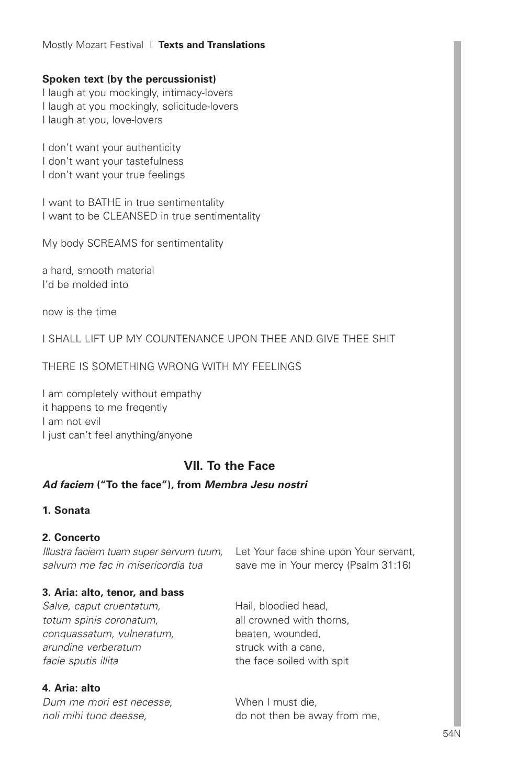## Mostly Mozart Festival I **Texts and Translations**

## **Spoken text (by the percussionist)**

I laugh at you mockingly, intimacy-lovers I laugh at you mockingly, solicitude-lovers I laugh at you, love-lovers

I don't want your authenticity I don't want your tastefulness I don't want your true feelings

I want to BATHE in true sentimentality I want to be CLEANSED in true sentimentality

My body SCREAMS for sentimentality

a hard, smooth material I'd be molded into

now is the time

I SHALL LIFT UP MY COUNTENANCE UPON THEE AND GIVE THEE SHIT

THERE IS SOMETHING WRONG WITH MY FEELINGS

I am completely without empathy it happens to me freqently I am not evil I just can't feel anything/anyone

# **VII. To the Face**

## *Ad faciem* **("To the face"), from** *Membra Jesu nostri*

## **1. Sonata**

## **2. Concerto**

*salvum me fac in misericordia tua*

## **3. Aria: alto, tenor, and bass**

*Salve, caput cruentatum, totum spinis coronatum, conquassatum, vulneratum, arundine verberatum facie sputis illita*

## **4. Aria: alto**

*Dum me mori est necesse, noli mihi tunc deesse,*

*Illustra faciem tuam super servum tuum,* Let Your face shine upon Your servant, save me in Your mercy (Psalm 31:16)

> Hail, bloodied head, all crowned with thorns, beaten, wounded, struck with a cane, the face soiled with spit

When I must die, do not then be away from me,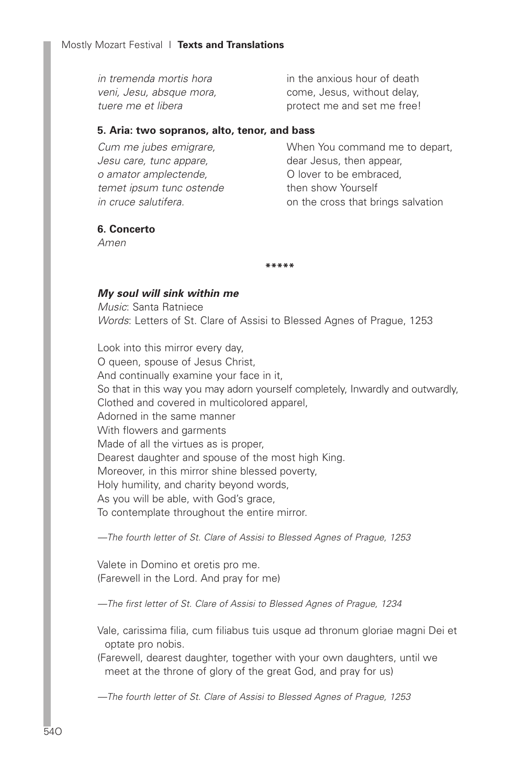*in tremenda mortis hora veni, Jesu, absque mora, tuere me et libera* in the anxious hour of death come, Jesus, without delay, protect me and set me free!

## **5. Aria: two sopranos, alto, tenor, and bass**

*Cum me jubes emigrare, Jesu care, tunc appare, o amator amplectende, temet ipsum tunc ostende in cruce salutifera.*

When You command me to depart, dear Jesus, then appear, O lover to be embraced, then show Yourself on the cross that brings salvation

## **6. Concerto**

*Amen*

#### **\*\*\*\*\***

#### *My soul will sink within me*

*Music*: Santa Ratniece *Words*: Letters of St. Clare of Assisi to Blessed Agnes of Prague, 1253

Look into this mirror every day, O queen, spouse of Jesus Christ, And continually examine your face in it, So that in this way you may adorn yourself completely, Inwardly and outwardly, Clothed and covered in multicolored apparel, Adorned in the same manner With flowers and garments Made of all the virtues as is proper, Dearest daughter and spouse of the most high King. Moreover, in this mirror shine blessed poverty, Holy humility, and charity beyond words, As you will be able, with God's grace, To contemplate throughout the entire mirror.

*—The fourth letter of St. Clare of Assisi to Blessed Agnes of Prague, 1253*

Valete in Domino et oretis pro me. (Farewell in the Lord. And pray for me)

*—The first letter of St. Clare of Assisi to Blessed Agnes of Prague, 1234*

Vale, carissima filia, cum filiabus tuis usque ad thronum gloriae magni Dei et optate pro nobis.

(Farewell, dearest daughter, together with your own daughters, until we meet at the throne of glory of the great God, and pray for us)

*—The fourth letter of St. Clare of Assisi to Blessed Agnes of Prague, 1253*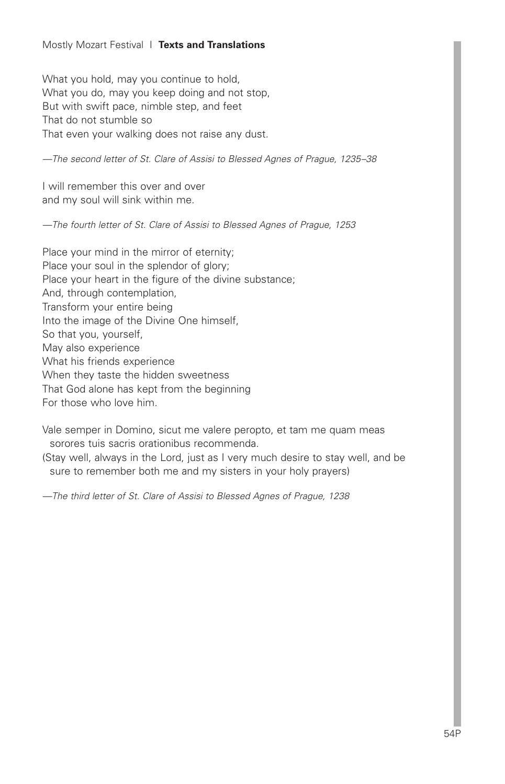## Mostly Mozart Festival I **Texts and Translations**

What you hold, may you continue to hold, What you do, may you keep doing and not stop, But with swift pace, nimble step, and feet That do not stumble so That even your walking does not raise any dust.

*—The second letter of St. Clare of Assisi to Blessed Agnes of Prague, 1235–38*

I will remember this over and over and my soul will sink within me.

*—The fourth letter of St. Clare of Assisi to Blessed Agnes of Prague, 1253*

Place your mind in the mirror of eternity; Place your soul in the splendor of glory; Place your heart in the figure of the divine substance; And, through contemplation, Transform your entire being Into the image of the Divine One himself, So that you, yourself, May also experience What his friends experience When they taste the hidden sweetness That God alone has kept from the beginning For those who love him.

Vale semper in Domino, sicut me valere peropto, et tam me quam meas sorores tuis sacris orationibus recommenda.

(Stay well, always in the Lord, just as I very much desire to stay well, and be sure to remember both me and my sisters in your holy prayers)

*—The third letter of St. Clare of Assisi to Blessed Agnes of Prague, 1238*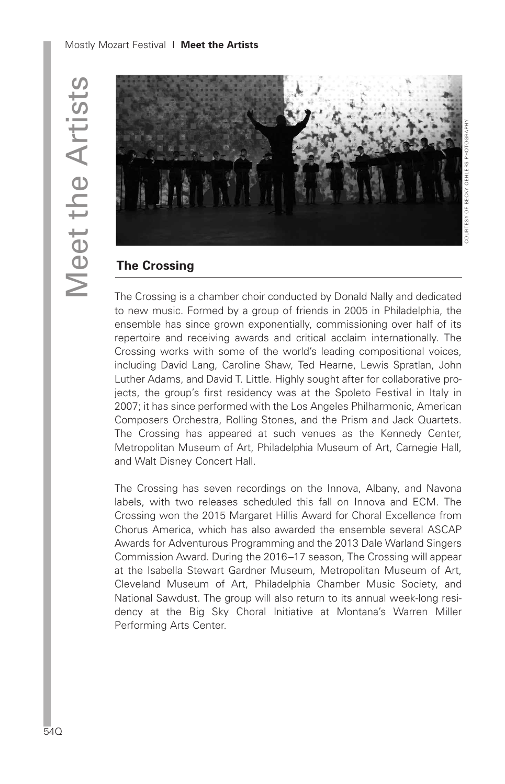

# **The Crossing**

The Crossing is a chamber choir conducted by Donald Nally and dedicated to new music. Formed by a group of friends in 2005 in Philadelphia, the ensemble has since grown exponentially, commissioning over half of its repertoire and receiving awards and critical acclaim internationally. The Crossing works with some of the world's leading compositional voices, including David Lang, Caroline Shaw, Ted Hearne, Lewis Spratlan, John Luther Adams, and David T. Little. Highly sought after for collaborative projects, the group's first residency was at the Spoleto Festival in Italy in 2007; it has since performed with the Los Angeles Philharmonic, American Composers Orchestra, Rolling Stones, and the Prism and Jack Quartets. The Crossing has appeared at such venues as the Kennedy Center, Metropolitan Museum of Art, Philadelphia Museum of Art, Carnegie Hall, and Walt Disney Concert Hall.

The Crossing has seven recordings on the Innova, Albany, and Navona labels, with two releases scheduled this fall on Innova and ECM. The Crossing won the 2015 Margaret Hillis Award for Choral Excellence from Chorus America, which has also awarded the ensemble several ASCAP Awards for Adventurous Programming and the 2013 Dale Warland Singers Commission Award. During the 2016–17 season, The Crossing will appear at the Isabella Stewart Gardner Museum, Metropolitan Museum of Art, Cleveland Museum of Art, Philadelphia Chamber Music Society, and National Sawdust. The group will also return to its annual week-long residency at the Big Sky Choral Initiative at Montana's Warren Miller Performing Arts Center.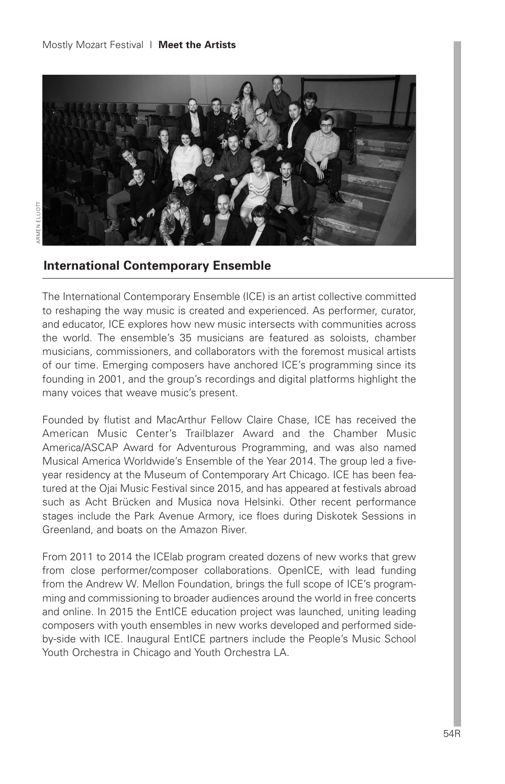

# **International Contemporary Ensemble**

The International Contemporary Ensemble (ICE) is an artist collective committed to reshaping the way music is created and experienced. As performer, curator, and educator, ICE explores how new music intersects with communities across the world. The ensemble's 35 musicians are featured as soloists, chamber musicians, commissioners, and collaborators with the foremost musical artists of our time. Emerging composers have anchored ICE's programming since its founding in 2001, and the group's recordings and digital platforms highlight the many voices that weave music's present.

Founded by flutist and MacArthur Fellow Claire Chase, ICE has received the American Music Center's Trailblazer Award and the Chamber Music America/ASCAP Award for Adventurous Programming, and was also named Musical America Worldwide's Ensemble of the Year 2014. The group led a fiveyear residency at the Museum of Contemporary Art Chicago. ICE has been featured at the Ojai Music Festival since 2015, and has appeared at festivals abroad such as Acht Brücken and Musica nova Helsinki. Other recent performance stages include the Park Avenue Armory, ice floes during Diskotek Sessions in Greenland, and boats on the Amazon River.

From 2011 to 2014 the ICElab program created dozens of new works that grew from close performer/composer collaborations. OpenICE, with lead funding from the Andrew W. Mellon Foundation, brings the full scope of ICE's programming and commissioning to broader audiences around the world in free concerts and online. In 2015 the EntICE education project was launched, uniting leading composers with youth ensembles in new works developed and performed sideby-side with ICE. Inaugural EntICE partners include the People's Music School Youth Orchestra in Chicago and Youth Orchestra LA.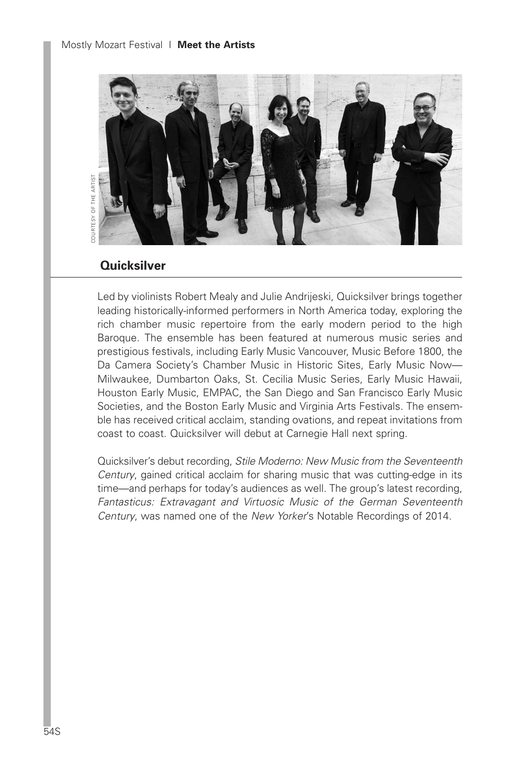

## **Quicksilver**

Led by violinists Robert Mealy and Julie Andrijeski, Quicksilver brings together leading historically-informed performers in North America today, exploring the rich chamber music repertoire from the early modern period to the high Baroque. The ensemble has been featured at numerous music series and prestigious festivals, including Early Music Vancouver, Music Before 1800, the Da Camera Society's Chamber Music in Historic Sites, Early Music Now— Milwaukee, Dumbarton Oaks, St. Cecilia Music Series, Early Music Hawaii, Houston Early Music, EMPAC, the San Diego and San Francisco Early Music Societies, and the Boston Early Music and Virginia Arts Festivals. The ensemble has received critical acclaim, standing ovations, and repeat invitations from coast to coast. Quicksilver will debut at Carnegie Hall next spring.

Quicksilver's debut recording, *Stile Moderno: New Music from the Seventeenth Century*, gained critical acclaim for sharing music that was cutting-edge in its time—and perhaps for today's audiences as well. The group's latest recording, *Fantasticus: Extravagant and Virtuosic Music of the German Seventeenth Century*, was named one of the *New Yorker*'s Notable Recordings of 2014.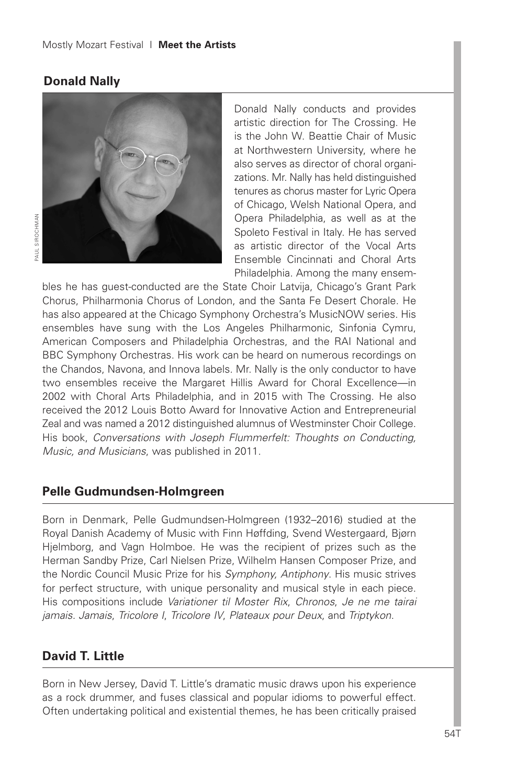## **Donald Nally**



Donald Nally conducts and provides artistic direction for The Crossing. He is the John W. Beattie Chair of Music at Northwestern University, where he also serves as director of choral organizations. Mr. Nally has held distinguished tenures as chorus master for Lyric Opera of Chicago, Welsh National Opera, and Opera Philadelphia, as well as at the Spoleto Festival in Italy. He has served as artistic director of the Vocal Arts Ensemble Cincinnati and Choral Arts Philadelphia. Among the many ensem-

bles he has guest-conducted are the State Choir Latvija, Chicago's Grant Park Chorus, Philharmonia Chorus of London, and the Santa Fe Desert Chorale. He has also appeared at the Chicago Symphony Orchestra's MusicNOW series. His ensembles have sung with the Los Angeles Philharmonic, Sinfonia Cymru, American Composers and Philadelphia Orchestras, and the RAI National and BBC Symphony Orchestras. His work can be heard on numerous recordings on the Chandos, Navona, and Innova labels. Mr. Nally is the only conductor to have two ensembles receive the Margaret Hillis Award for Choral Excellence—in 2002 with Choral Arts Philadelphia, and in 2015 with The Crossing. He also received the 2012 Louis Botto Award for Innovative Action and Entrepreneurial Zeal and was named a 2012 distinguished alumnus of Westminster Choir College. His book, *Conversations with Joseph Flummerfelt: Thoughts on Conducting, Music, and Musicians*, was published in 2011.

## **Pelle Gudmundsen-Holmgreen**

Born in Denmark, Pelle Gudmundsen-Holmgreen (1932–2016) studied at the Royal Danish Academy of Music with Finn Høffding, Svend Westergaard, Bjørn Hjelmborg, and Vagn Holmboe. He was the recipient of prizes such as the Herman Sandby Prize, Carl Nielsen Prize, Wilhelm Hansen Composer Prize, and the Nordic Council Music Prize for his *Symphony, Antiphony*. His music strives for perfect structure, with unique personality and musical style in each piece. His compositions include *Variationer til Moster Rix*, *Chronos*, *Je ne me tairai jamais. Jamais*, *Tricolore I*, *Tricolore IV*, *Plateaux pour Deux*, and *Triptykon*.

# **David T. Little**

Born in New Jersey, David T. Little's dramatic music draws upon his experience as a rock drummer, and fuses classical and popular idioms to powerful effect. Often undertaking political and existential themes, he has been critically praised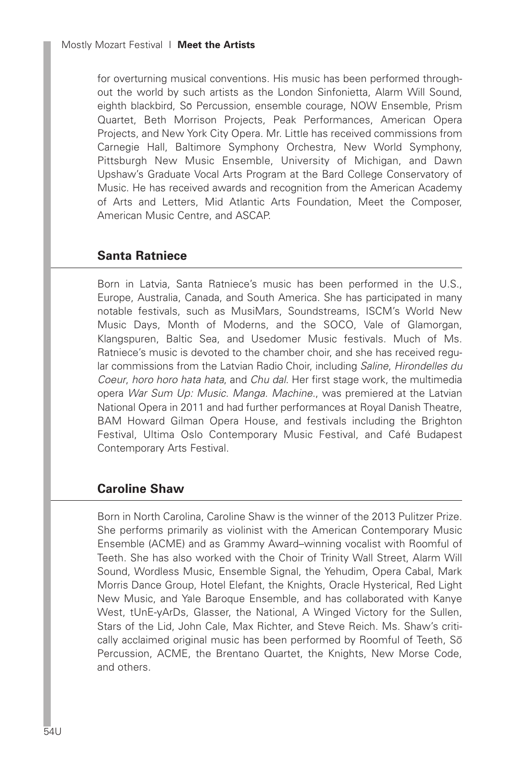for overturning musical conventions. His music has been performed throughout the world by such artists as the London Sinfonietta, Alarm Will Sound, eighth blackbird, So Percussion, ensemble courage, NOW Ensemble, Prism Quartet, Beth Morrison Projects, Peak Performances, American Opera Projects, and New York City Opera. Mr. Little has received commissions from Carnegie Hall, Baltimore Symphony Orchestra, New World Symphony, Pittsburgh New Music Ensemble, University of Michigan, and Dawn Upshaw's Graduate Vocal Arts Program at the Bard College Conservatory of Music. He has received awards and recognition from the American Academy of Arts and Letters, Mid Atlantic Arts Foundation, Meet the Composer, American Music Centre, and ASCAP.

# **Santa Ratniece**

Born in Latvia, Santa Ratniece's music has been performed in the U.S., Europe, Australia, Canada, and South America. She has participated in many notable festivals, such as MusiMars, Soundstreams, ISCM's World New Music Days, Month of Moderns, and the SOCO, Vale of Glamorgan, Klangspuren, Baltic Sea, and Usedomer Music festivals. Much of Ms. Ratniece's music is devoted to the chamber choir, and she has received regular commissions from the Latvian Radio Choir, including *Saline*, *Hirondelles du Coeur*, *horo horo hata hata*, and *Chu dal*. Her first stage work, the multimedia opera *War Sum Up: Music. Manga. Machine.*, was premiered at the Latvian National Opera in 2011 and had further performances at Royal Danish Theatre, BAM Howard Gilman Opera House, and festivals including the Brighton Festival, Ultima Oslo Contemporary Music Festival, and Café Budapest Contemporary Arts Festival.

# **Caroline Shaw**

Born in North Carolina, Caroline Shaw is the winner of the 2013 Pulitzer Prize. She performs primarily as violinist with the American Contemporary Music Ensemble (ACME) and as Grammy Award–winning vocalist with Roomful of Teeth. She has also worked with the Choir of Trinity Wall Street, Alarm Will Sound, Wordless Music, Ensemble Signal, the Yehudim, Opera Cabal, Mark Morris Dance Group, Hotel Elefant, the Knights, Oracle Hysterical, Red Light New Music, and Yale Baroque Ensemble, and has collaborated with Kanye West, tUnE-yArDs, Glasser, the National, A Winged Victory for the Sullen, Stars of the Lid, John Cale, Max Richter, and Steve Reich. Ms. Shaw's critically acclaimed original music has been performed by Roomful of Teeth, So Percussion, ACME, the Brentano Quartet, the Knights, New Morse Code, and others.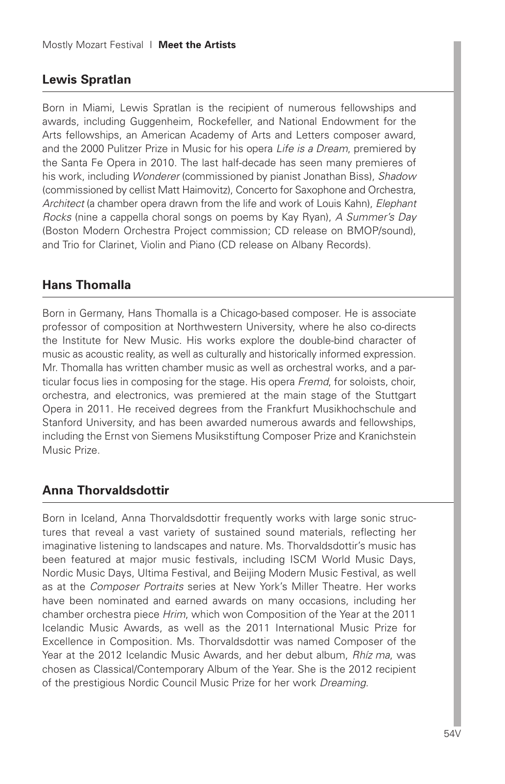# **Lewis Spratlan**

Born in Miami, Lewis Spratlan is the recipient of numerous fellowships and awards, including Guggenheim, Rockefeller, and National Endowment for the Arts fellowships, an American Academy of Arts and Letters composer award, and the 2000 Pulitzer Prize in Music for his opera *Life is a Dream*, premiered by the Santa Fe Opera in 2010. The last half-decade has seen many premieres of his work, including *Wonderer* (commissioned by pianist Jonathan Biss), *Shadow* (commissioned by cellist Matt Haimovitz), Concerto for Saxophone and Orchestra, *Architect* (a chamber opera drawn from the life and work of Louis Kahn), *Elephant Rocks* (nine a cappella choral songs on poems by Kay Ryan), *A Summer's Day* (Boston Modern Orchestra Project commission; CD release on BMOP/sound), and Trio for Clarinet, Violin and Piano (CD release on Albany Records).

# **Hans Thomalla**

Born in Germany, Hans Thomalla is a Chicago-based composer. He is associate professor of composition at Northwestern University, where he also co-directs the Institute for New Music. His works explore the double-bind character of music as acoustic reality, as well as culturally and historically informed expression. Mr. Thomalla has written chamber music as well as orchestral works, and a particular focus lies in composing for the stage. His opera *Fremd*, for soloists, choir, orchestra, and electronics, was premiered at the main stage of the Stuttgart Opera in 2011. He received degrees from the Frankfurt Musikhochschule and Stanford University, and has been awarded numerous awards and fellowships, including the Ernst von Siemens Musikstiftung Composer Prize and Kranichstein Music Prize.

# **Anna Thorvaldsdottir**

Born in Iceland, Anna Thorvaldsdottir frequently works with large sonic structures that reveal a vast variety of sustained sound materials, reflecting her imaginative listening to landscapes and nature. Ms. Thorvaldsdottir's music has been featured at major music festivals, including ISCM World Music Days, Nordic Music Days, Ultima Festival, and Beijing Modern Music Festival, as well as at the *Composer Portraits* series at New York's Miller Theatre. Her works have been nominated and earned awards on many occasions, including her chamber orchestra piece *Hrim*, which won Composition of the Year at the 2011 Icelandic Music Awards, as well as the 2011 International Music Prize for Excellence in Composition. Ms. Thorvaldsdottir was named Composer of the Year at the 2012 Icelandic Music Awards, and her debut album, *Rhíz ma*, was chosen as Classical/Contemporary Album of the Year. She is the 2012 recipient of the prestigious Nordic Council Music Prize for her work *Dreaming*.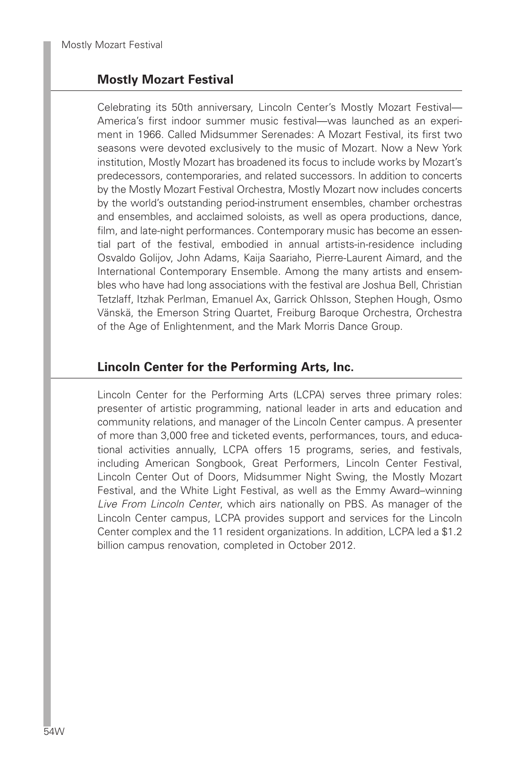# **Mostly Mozart Festival**

Celebrating its 50th anniversary, Lincoln Center's Mostly Mozart Festival— America's first indoor summer music festival—was launched as an experiment in 1966. Called Midsummer Serenades: A Mozart Festival, its first two seasons were devoted exclusively to the music of Mozart. Now a New York institution, Mostly Mozart has broadened its focus to include works by Mozart's predecessors, contemporaries, and related successors. In addition to concerts by the Mostly Mozart Festival Orchestra, Mostly Mozart now includes concerts by the world's outstanding period-instrument ensembles, chamber orchestras and ensembles, and acclaimed soloists, as well as opera productions, dance, film, and late-night performances. Contemporary music has become an essential part of the festival, embodied in annual artists-in-residence including Osvaldo Golijov, John Adams, Kaija Saariaho, Pierre-Laurent Aimard, and the International Contemporary Ensemble. Among the many artists and ensembles who have had long associations with the festival are Joshua Bell, Christian Tetzlaff, Itzhak Perlman, Emanuel Ax, Garrick Ohlsson, Stephen Hough, Osmo Vänskä, the Emerson String Quartet, Freiburg Baroque Orchestra, Orchestra of the Age of Enlightenment, and the Mark Morris Dance Group.

# **Lincoln Center for the Performing Arts, Inc.**

Lincoln Center for the Performing Arts (LCPA) serves three primary roles: presenter of artistic programming, national leader in arts and education and community relations, and manager of the Lincoln Center campus. A presenter of more than 3,000 free and ticketed events, performances, tours, and educational activities annually, LCPA offers 15 programs, series, and festivals, including American Songbook, Great Performers, Lincoln Center Festival, Lincoln Center Out of Doors, Midsummer Night Swing, the Mostly Mozart Festival, and the White Light Festival, as well as the Emmy Award–winning *Live From Lincoln Center*, which airs nationally on PBS. As manager of the Lincoln Center campus, LCPA provides support and services for the Lincoln Center complex and the 11 resident organizations. In addition, LCPA led a \$1.2 billion campus renovation, completed in October 2012.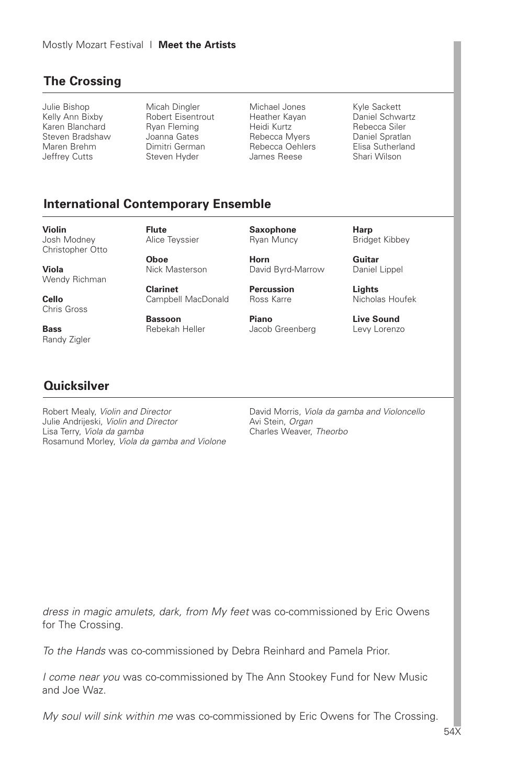# **The Crossing**

Julie Bishop Kelly Ann Bixby Karen Blanchard Steven Bradshaw Maren Brehm Jeffrey Cutts

Micah Dingler Robert Eisentrout Ryan Fleming Joanna Gates Dimitri German Steven Hyder

Michael Jones Heather Kayan Heidi Kurtz Rebecca Myers Rebecca Oehlers James Reese

Kyle Sackett Daniel Schwartz Rebecca Siler Daniel Spratlan Elisa Sutherland Shari Wilson

# **International Contemporary Ensemble**

**Violin** Josh Modney Christopher Otto

**Viola** Wendy Richman

**Cello** Chris Gross

**Bass** Randy Zigler **Flute** Alice Teyssier

**Oboe** Nick Masterson

**Clarinet** Campbell MacDonald

**Bassoon** Rebekah Heller **Saxophone** Ryan Muncy

**Horn**

David Byrd-Marrow **Percussion**

Ross Karre

**Piano** Jacob Greenberg **Harp** Bridget Kibbey

**Guitar** Daniel Lippel

**Lights** Nicholas Houfek

**Live Sound** Levy Lorenzo

# **Quicksilver**

Robert Mealy, *Violin and Director* Julie Andrijeski, *Violin and Director* Lisa Terry, *Viola da gamba* Rosamund Morley, *Viola da gamba and Violone* David Morris, *Viola da gamba and Violoncello* Avi Stein, *Organ* Charles Weaver, *Theorbo*

*dress in magic amulets, dark, from My feet* was co-commissioned by Eric Owens for The Crossing.

*To the Hands* was co-commissioned by Debra Reinhard and Pamela Prior.

*I come near you* was co-commissioned by The Ann Stookey Fund for New Music and Joe Waz.

*My soul will sink within me* was co-commissioned by Eric Owens for The Crossing.